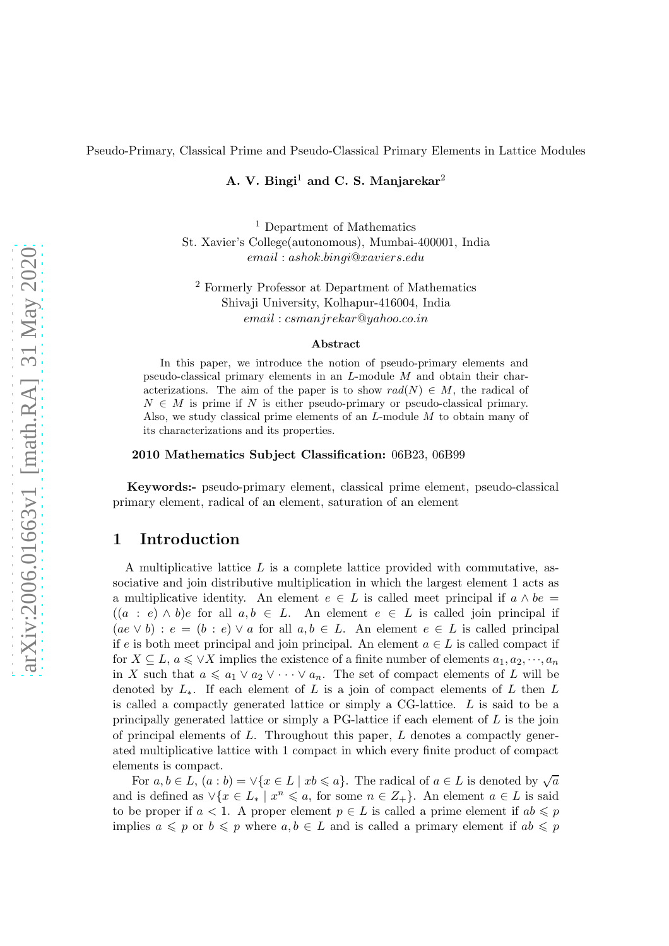Pseudo-Primary, Classical Prime and Pseudo-Classical Primary Elements in Lattice Modules

A. V. Bingi<sup>1</sup> and C. S. Manjarekar<sup>2</sup>

<sup>1</sup> Department of Mathematics St. Xavier's College(autonomous), Mumbai-400001, India email : ashok.bingi@xaviers.edu

<sup>2</sup> Formerly Professor at Department of Mathematics Shivaji University, Kolhapur-416004, India email : csmanjrekar@yahoo.co.in

#### Abstract

In this paper, we introduce the notion of pseudo-primary elements and pseudo-classical primary elements in an L-module M and obtain their characterizations. The aim of the paper is to show  $rad(N) \in M$ , the radical of  $N \in M$  is prime if N is either pseudo-primary or pseudo-classical primary. Also, we study classical prime elements of an L-module M to obtain many of its characterizations and its properties.

#### 2010 Mathematics Subject Classification: 06B23, 06B99

Keywords:- pseudo-primary element, classical prime element, pseudo-classical primary element, radical of an element, saturation of an element

# 1 Introduction

A multiplicative lattice  $L$  is a complete lattice provided with commutative, associative and join distributive multiplication in which the largest element 1 acts as a multiplicative identity. An element  $e \in L$  is called meet principal if  $a \wedge be =$  $((a : e) \wedge b)e$  for all  $a, b \in L$ . An element  $e \in L$  is called join principal if  $(ae \vee b): e = (b : e) \vee a$  for all  $a, b \in L$ . An element  $e \in L$  is called principal if e is both meet principal and join principal. An element  $a \in L$  is called compact if for  $X \subseteq L$ ,  $a \leq \vee X$  implies the existence of a finite number of elements  $a_1, a_2, \dots, a_n$ in X such that  $a \leq a_1 \vee a_2 \vee \cdots \vee a_n$ . The set of compact elements of L will be denoted by  $L_$ <sup>\*</sup>. If each element of L is a join of compact elements of L then L is called a compactly generated lattice or simply a CG-lattice. L is said to be a principally generated lattice or simply a  $PG$ -lattice if each element of  $L$  is the join of principal elements of  $L$ . Throughout this paper,  $L$  denotes a compactly generated multiplicative lattice with 1 compact in which every finite product of compact elements is compact.

For  $a, b \in L$ ,  $(a : b) = \vee \{x \in L \mid xb \leq a\}$ . The radical of  $a \in L$  is denoted by  $\sqrt{a}$ and is defined as  $\vee \{x \in L_* \mid x^n \leqslant a, \text{ for some } n \in Z_+\}.$  An element  $a \in L$  is said to be proper if  $a < 1$ . A proper element  $p \in L$  is called a prime element if  $ab \leq p$ implies  $a \leqslant p$  or  $b \leqslant p$  where  $a, b \in L$  and is called a primary element if  $ab \leqslant p$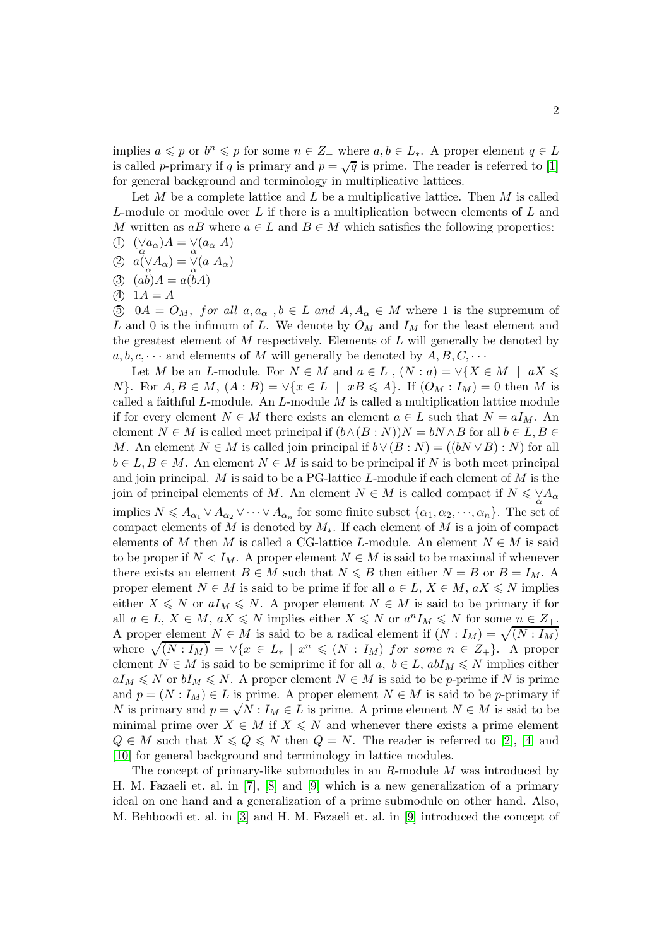implies  $a \leqslant p$  or  $b^n \leqslant p$  for some  $n \in \mathbb{Z}_+$  where  $a, b \in L_*$ . A proper element  $q \in L$ is called p-primary if q is primary and  $p = \sqrt{q}$  is prime. The reader is referred to [\[1\]](#page-20-0) for general background and terminology in multiplicative lattices.

Let  $M$  be a complete lattice and  $L$  be a multiplicative lattice. Then  $M$  is called L-module or module over L if there is a multiplication between elements of L and M written as  $aB$  where  $a \in L$  and  $B \in M$  which satisfies the following properties:

- $\bigoplus_{\alpha} \left( \bigvee_{\alpha} a_{\alpha} \right) A = \bigvee_{\alpha} \left( a_{\alpha} A \right)$
- $\bigotimes a(\underset{\alpha}{\vee}A_{\alpha})=\underset{\alpha}{\vee}(a\ A_{\alpha})$
- (3)  $(ab)A = a(bA)$
- (4)  $1A = A$

 $50 \text{ } 0A = O_M$ , for all  $a, a_\alpha$ ,  $b \in L$  and  $A, A_\alpha \in M$  where 1 is the supremum of L and 0 is the infimum of L. We denote by  $O_M$  and  $I_M$  for the least element and the greatest element of  $M$  respectively. Elements of  $L$  will generally be denoted by  $a, b, c, \cdots$  and elements of M will generally be denoted by  $A, B, C, \cdots$ 

Let M be an L-module. For  $N \in M$  and  $a \in L$ ,  $(N : a) = \vee \{X \in M \mid aX \leq a\}$ N}. For  $A, B \in M$ ,  $(A : B) = \vee \{x \in L \mid xB \leqslant A\}$ . If  $(O_M : I_M) = 0$  then M is called a faithful L-module. An L-module  $M$  is called a multiplication lattice module if for every element  $N \in M$  there exists an element  $a \in L$  such that  $N = aI_M$ . An element  $N \in M$  is called meet principal if  $(b \wedge (B : N))N = bN \wedge B$  for all  $b \in L, B \in$ M. An element  $N \in M$  is called join principal if  $b \vee (B : N) = ((bN \vee B) : N)$  for all  $b \in L, B \in M$ . An element  $N \in M$  is said to be principal if N is both meet principal and join principal.  $M$  is said to be a PG-lattice  $L$ -module if each element of  $M$  is the join of principal elements of M. An element  $N \in M$  is called compact if  $N \leq \vee A_{\alpha}$ implies  $N \leq A_{\alpha_1} \vee A_{\alpha_2} \vee \cdots \vee A_{\alpha_n}$  for some finite subset  $\{\alpha_1, \alpha_2, \cdots, \alpha_n\}$ . The set of compact elements of M is denoted by  $M_*$ . If each element of M is a join of compact elements of M then M is called a CG-lattice L-module. An element  $N \in M$  is said to be proper if  $N < I_M$ . A proper element  $N \in M$  is said to be maximal if whenever there exists an element  $B \in M$  such that  $N \le B$  then either  $N = B$  or  $B = I_M$ . A proper element  $N \in M$  is said to be prime if for all  $a \in L$ ,  $X \in M$ ,  $aX \le N$  implies either  $X \leq N$  or  $aI_M \leq N$ . A proper element  $N \in M$  is said to be primary if for all  $a \in L$ ,  $X \in M$ ,  $aX \leq N$  implies either  $X \leq N$  or  $a^n I_M \leq N$  for some  $n \in Z_+$ . A proper element  $N \in M$  is said to be a radical element if  $(N : I_M) = \sqrt{(N : I_M)}$ where  $\sqrt{(N : I_M)} = \vee \{x \in L_* \mid x^n \leq (N : I_M) \text{ for some } n \in Z_+\}.$  A proper element  $N \in M$  is said to be semiprime if for all  $a, b \in L$ ,  $abI_M \le N$  implies either  $aI_M \leq N$  or  $bI_M \leq N$ . A proper element  $N \in M$  is said to be p-prime if N is prime and  $p = (N : I_M) \in L$  is prime. A proper element  $N \in M$  is said to be p-primary if N is primary and  $p = \sqrt{N : I_M} \in L$  is prime. A prime element  $N \in M$  is said to be minimal prime over  $X \in M$  if  $X \leq N$  and whenever there exists a prime element  $Q \in M$  such that  $X \leq Q \leq N$  then  $Q = N$ . The reader is referred to [\[2\]](#page-20-1), [\[4\]](#page-20-2) and [\[10\]](#page-20-3) for general background and terminology in lattice modules.

The concept of primary-like submodules in an  $R$ -module  $M$  was introduced by H. M. Fazaeli et. al. in [\[7\]](#page-20-4), [\[8\]](#page-20-5) and [\[9\]](#page-20-6) which is a new generalization of a primary ideal on one hand and a generalization of a prime submodule on other hand. Also, M. Behboodi et. al. in [\[3\]](#page-20-7) and H. M. Fazaeli et. al. in [\[9\]](#page-20-6) introduced the concept of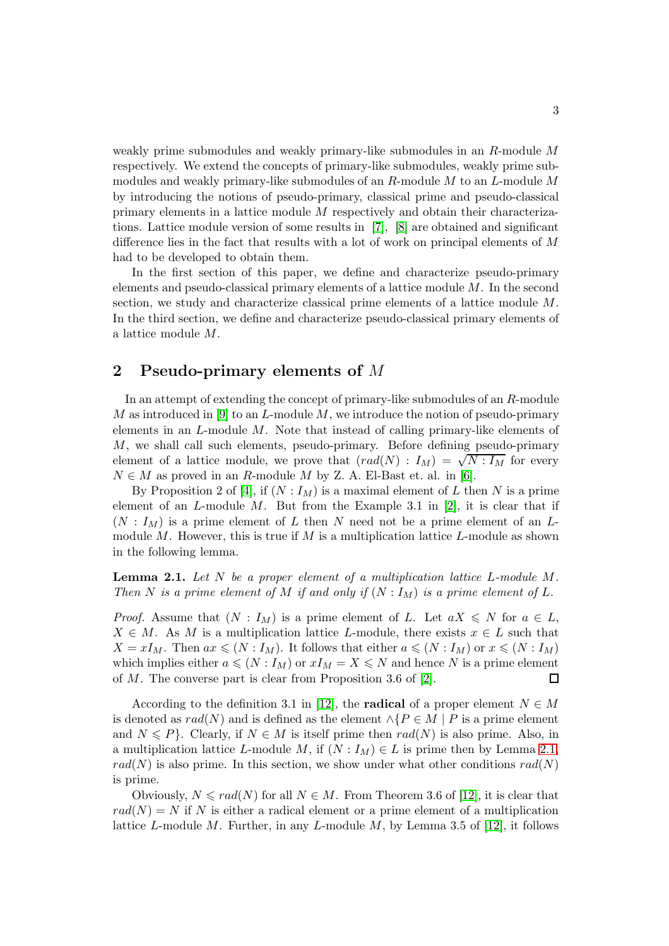weakly prime submodules and weakly primary-like submodules in an R-module M respectively. We extend the concepts of primary-like submodules, weakly prime submodules and weakly primary-like submodules of an  $R$ -module  $M$  to an  $L$ -module  $M$ by introducing the notions of pseudo-primary, classical prime and pseudo-classical primary elements in a lattice module M respectively and obtain their characterizations. Lattice module version of some results in [\[7\]](#page-20-4), [\[8\]](#page-20-5) are obtained and significant difference lies in the fact that results with a lot of work on principal elements of  $M$ had to be developed to obtain them.

In the first section of this paper, we define and characterize pseudo-primary elements and pseudo-classical primary elements of a lattice module M. In the second section, we study and characterize classical prime elements of a lattice module M. In the third section, we define and characterize pseudo-classical primary elements of a lattice module M.

## 2 Pseudo-primary elements of M

In an attempt of extending the concept of primary-like submodules of an R-module M as introduced in [\[9\]](#page-20-6) to an L-module  $M$ , we introduce the notion of pseudo-primary elements in an  $L$ -module  $M$ . Note that instead of calling primary-like elements of M, we shall call such elements, pseudo-primary. Before defining pseudo-primary element of a lattice module, we prove that  $(rad(N) : I_M) = \sqrt{N : I_M}$  for every  $N \in M$  as proved in an R-module M by Z. A. El-Bast et. al. in [\[6\]](#page-20-8).

By Proposition 2 of [\[4\]](#page-20-2), if  $(N: I_M)$  is a maximal element of L then N is a prime element of an  $L$ -module  $M$ . But from the Example 3.1 in [\[2\]](#page-20-1), it is clear that if  $(N: I_M)$  is a prime element of L then N need not be a prime element of an Lmodule  $M$ . However, this is true if  $M$  is a multiplication lattice  $L$ -module as shown in the following lemma.

<span id="page-2-0"></span>Lemma 2.1. *Let* N *be a proper element of a multiplication lattice* L*-module* M*. Then* N is a prime element of M if and only if  $(N : I_M)$  is a prime element of L.

*Proof.* Assume that  $(N : I_M)$  is a prime element of L. Let  $aX \leq N$  for  $a \in L$ ,  $X \in M$ . As M is a multiplication lattice L-module, there exists  $x \in L$  such that  $X = xI_M$ . Then  $ax \leq N : I_M$ . It follows that either  $a \leq N : I_M$  or  $x \leq N : I_M$ which implies either  $a \leq N : I_M$  or  $xI_M = X \leq N$  and hence N is a prime element of  $M$ . The converse part is clear from Proposition 3.6 of [\[2\]](#page-20-1).  $\Box$ 

According to the definition 3.1 in [\[12\]](#page-21-0), the **radical** of a proper element  $N \in M$ is denoted as  $rad(N)$  and is defined as the element  $\wedge$ { $P \in M \mid P$  is a prime element and  $N \leq P$ . Clearly, if  $N \in M$  is itself prime then  $rad(N)$  is also prime. Also, in a multiplication lattice L-module M, if  $(N : I_M) \in L$  is prime then by Lemma [2](#page-2-0).1,  $rad(N)$  is also prime. In this section, we show under what other conditions  $rad(N)$ is prime.

Obviously,  $N \leq rad(N)$  for all  $N \in M$ . From Theorem 3.6 of [\[12\]](#page-21-0), it is clear that  $rad(N) = N$  if N is either a radical element or a prime element of a multiplication lattice L-module M. Further, in any L-module M, by Lemma 3.5 of [\[12\]](#page-21-0), it follows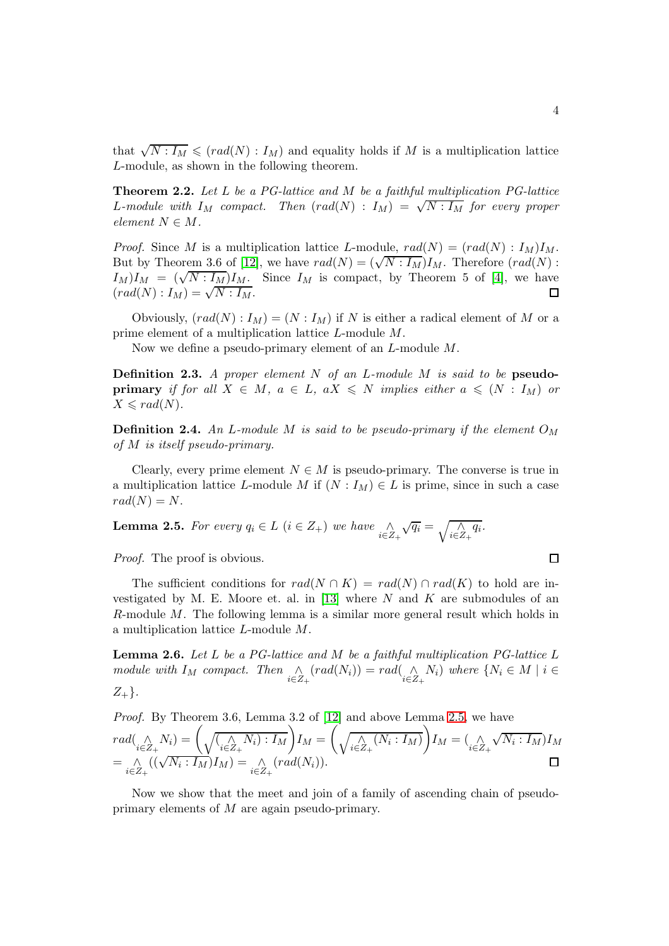that  $\sqrt{N: I_M} \leqslant (rad(N): I_M)$  and equality holds if M is a multiplication lattice L-module, as shown in the following theorem.

<span id="page-3-2"></span>Theorem 2.2. *Let* L *be a PG-lattice and* M *be a faithful multiplication PG-lattice* L-module with  $I_M$  compact. Then  $(rad(N) : I_M) = \sqrt{N : I_M}$  for every proper  $element\ N \in M$ .

*Proof.* Since M is a multiplication lattice L-module,  $rad(N) = (rad(N) : I_M)I_M$ . But by Theorem 3.6 of [\[12\]](#page-21-0), we have  $rad(N) = (\sqrt{N} : I_M)I_M$ . Therefore  $(rad(N) : I_M)$  $I_M$ ) $I_M$  =  $(\sqrt{N: I_M}) I_M$ . Since  $I_M$  is compact, by Theorem 5 of [\[4\]](#page-20-2), we have  $\overbrace{(rad(N):I_M)}^{\overbrace{M}} = \sqrt{\overline{N:I_M}}.$ 

Obviously,  $(rad(N) : I_M) = (N : I_M)$  if N is either a radical element of M or a prime element of a multiplication lattice L-module M.

Now we define a pseudo-primary element of an L-module M.

Definition 2.3. *A proper element* N *of an* L*-module* M *is said to be* pseudo**primary** *if for all*  $X \in M$ ,  $a \in L$ ,  $aX \leq N$  *implies either*  $a \leq (N : I_M)$  *or*  $X \leqslant rad(N)$ .

**Definition 2.4.** An L-module M is said to be pseudo-primary if the element  $O_M$ *of* M *is itself pseudo-primary.*

Clearly, every prime element  $N \in M$  is pseudo-primary. The converse is true in a multiplication lattice L-module M if  $(N : I_M) \in L$  is prime, since in such a case  $rad(N) = N$ .

<span id="page-3-0"></span>**Lemma 2.5.** For every 
$$
q_i \in L
$$
  $(i \in Z_+)$  we have  $\bigwedge_{i \in Z_+} \sqrt{q_i} = \sqrt{\bigwedge_{i \in Z_+} q_i}$ .

*Proof.* The proof is obvious.

The sufficient conditions for  $rad(N \cap K) = rad(N) \cap rad(K)$  to hold are in-vestigated by M. E. Moore et. al. in [\[13\]](#page-21-1) where  $N$  and  $K$  are submodules of an R-module M. The following lemma is a similar more general result which holds in a multiplication lattice L-module M.

<span id="page-3-1"></span>Lemma 2.6. *Let* L *be a PG-lattice and* M *be a faithful multiplication PG-lattice* L *module with*  $I_M$  *compact.* Then  $\bigwedge_{i \in Z_+} (rad(N_i)) = rad(\bigwedge_{i \in Z_+} N_i)$  where  $\{N_i \in M \mid i \in Z_+ \}$  $Z_{+}$  $\}.$ 

*Proof.* By Theorem 3.6, Lemma 3.2 of [\[12\]](#page-21-0) and above Lemma [2.5,](#page-3-0) we have  $rad(\underset{i\in Z_{+}}{\wedge}N_{i})=\bigg(\sqrt{(\underset{i\in Z_{+}}{\wedge}N_{i}):I_{M}}\bigg)I_{M}=\bigg(\underset{i\in Z_{+}}{\wedge}(\overline{N_{i}:I_{M}})\bigg)I_{M}=(\underset{i\in Z_{+}}{\wedge}$  $\sqrt{N_i:I_M}$ ) $I_M$  $=\bigwedge_{i\in Z_+} ((\sqrt{N_i: I_M})I_M) = \bigwedge_{i\in Z_+} (rad(N_i)).$ 

Now we show that the meet and join of a family of ascending chain of pseudoprimary elements of M are again pseudo-primary.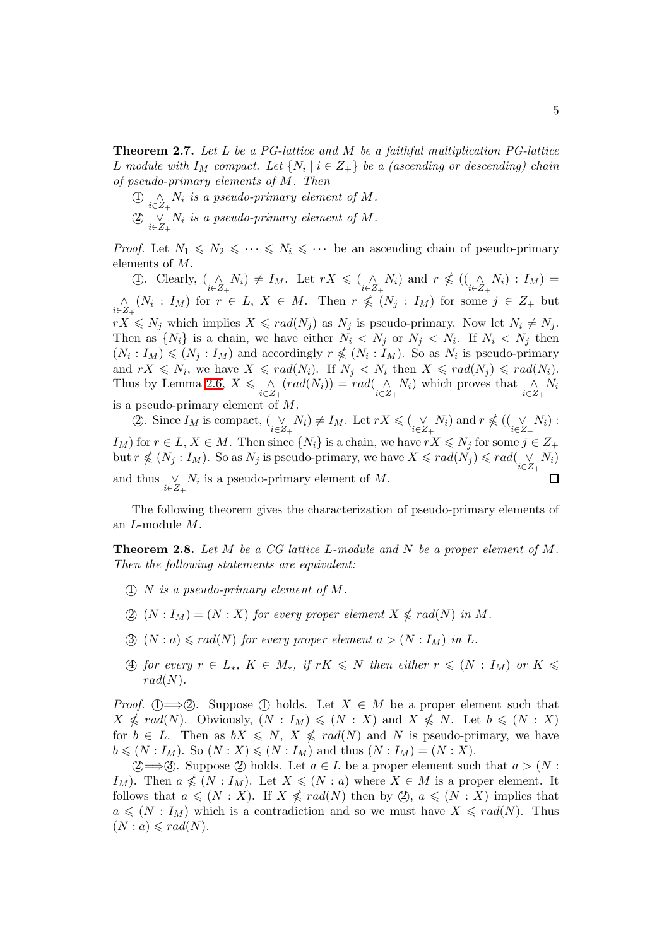Theorem 2.7. *Let* L *be a PG-lattice and* M *be a faithful multiplication PG-lattice* L module with  $I_M$  compact. Let  $\{N_i \mid i \in Z_+\}$  be a (ascending or descending) chain *of pseudo-primary elements of* M*. Then*

 $\bigoplus_{i\in Z_+} \bigwedge_i$  *is a pseudo-primary element of*  $M$ *.*  $\textcircled{2} \underset{i \in Z_+}{\vee} N_i$  *is a pseudo-primary element of* M.

*Proof.* Let  $N_1 \leq N_2 \leq \cdots \leq N_i \leq \cdots$  be an ascending chain of pseudo-primary elements of M.

(1). Clearly,  $\begin{array}{l}\n\binom{\wedge}{i \in Z_+} N_i \neq I_M$ . Let  $rX \leq \binom{\wedge}{i \in Z_+} N_i$  and  $r \nleq \binom{\wedge}{i \in Z_+} N_i : I_M$  =  $\bigwedge_{i\in Z_+} (N_i: I_M)$  for  $r \in L$ ,  $X \in M$ . Then  $r \nleq (N_j: I_M)$  for some  $j \in Z_+$  but  $rX \leq N_j$  which implies  $X \leqslant rad(N_j)$  as  $N_j$  is pseudo-primary. Now let  $N_i \neq N_j$ . Then as  $\{N_i\}$  is a chain, we have either  $N_i \leq N_j$  or  $N_j \leq N_i$ . If  $N_i \leq N_j$  then  $(N_i: I_M) \leq N_j: I_M$  and accordingly  $r \nleq (N_i: I_M)$ . So as  $N_i$  is pseudo-primary and  $rX \leq N_i$ , we have  $X \leqslant rad(N_i)$ . If  $N_j \leq N_i$  then  $X \leqslant rad(N_j) \leqslant rad(N_i)$ . Thus by Lemma [2](#page-3-1).6,  $X \leq \bigwedge_{i \in Z_+} (rad(N_i)) = rad(\bigwedge_{i \in Z_+} N_i)$  which proves that  $\bigwedge_{i \in Z_+} N_i$ is a pseudo-primary element of M.

(2). Since  $I_M$  is compact,  $(\bigvee_{i \in Z_+} N_i) \neq I_M$ . Let  $rX \leq (\bigvee_{i \in Z_+} N_i)$  and  $r \nleq (\bigvee_{i \in Z_+} N_i)$ :  $I_M$ ) for  $r \in L$ ,  $X \in M$ . Then since  $\{N_i\}$  is a chain, we have  $rX \le N_j$  for some  $j \in Z_+$ but  $r \nleq (N_j : I_M)$ . So as  $N_j$  is pseudo-primary, we have  $X \leqslant rad(N_j) \leqslant rad(\bigvee\limits_{i \in Z_+} N_i)$  $\Box$ and thus  $\bigvee_{i \in Z_+} N_i$  is a pseudo-primary element of M.

The following theorem gives the characterization of pseudo-primary elements of an L-module M.

Theorem 2.8. *Let* M *be a CG lattice* L*-module and* N *be a proper element of* M*. Then the following statements are equivalent:*

- 1 N *is a pseudo-primary element of* M*.*
- $(2)$   $(N: I_M) = (N: X)$  *for every proper element*  $X \nleqslant rad(N)$  *in*  $M$ *.*
- 3)  $(N : a) \leqslant rad(N)$  *for every proper element*  $a > (N : I_M)$  *in* L.
- 4) for every  $r \in L_*$ ,  $K \in M_*$ , if  $rK \leq N$  then either  $r \leq (N : I_M)$  or  $K \leq$  $rad(N)$ .

*Proof.* (1)  $\Longrightarrow$  (2). Suppose (1) holds. Let  $X \in M$  be a proper element such that  $X \nleq \text{rad}(N)$ . Obviously,  $(N : I_M) \leq (N : X)$  and  $X \nleq N$ . Let  $b \leq (N : X)$ for  $b \in L$ . Then as  $bX \leq N$ ,  $X \nleq rad(N)$  and N is pseudo-primary, we have  $b \leqslant (N : I_M)$ . So  $(N : X) \leqslant (N : I_M)$  and thus  $(N : I_M) = (N : X)$ .

(2 ⇒ 3). Suppose (2) holds. Let  $a \in L$  be a proper element such that  $a > (N :$ I<sub>M</sub>). Then  $a \nleq (N : I_M)$ . Let  $X \leq (N : a)$  where  $X \in M$  is a proper element. It follows that  $a \leq (N : X)$ . If  $X \nleq rad(N)$  then by  $\mathcal{Q}, a \leq (N : X)$  implies that  $a \leq N : I_M$ ) which is a contradiction and so we must have  $X \leq rad(N)$ . Thus  $(N : a) \leqslant rad(N).$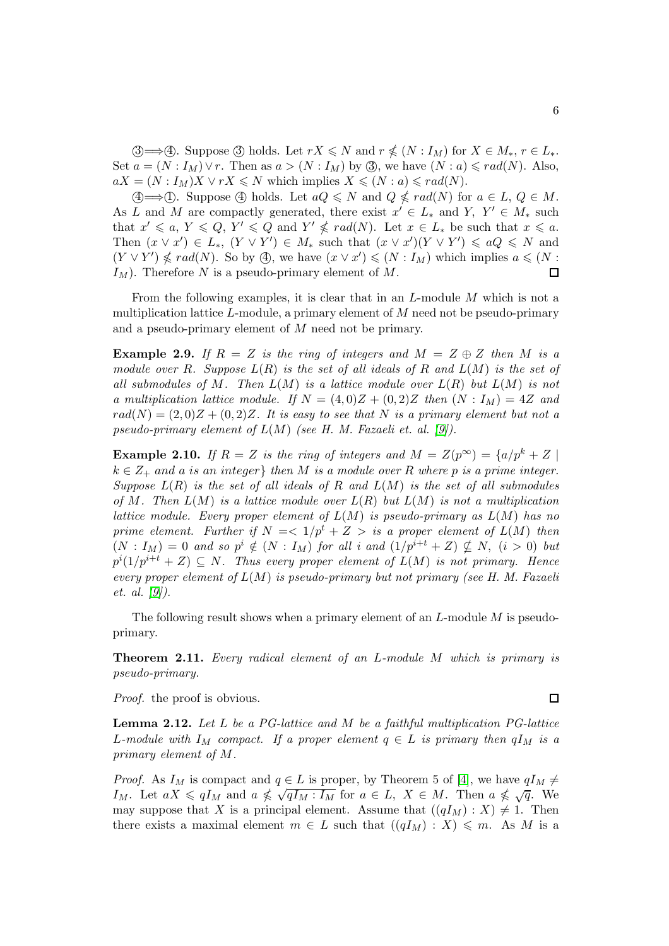3  $\Rightarrow$  4. Suppose 3 holds. Let  $rX \le N$  and  $r \nle (N : I_M)$  for  $X \in M_*, r \in L_*$ . Set  $a = (N : I_M) \vee r$ . Then as  $a > (N : I_M)$  by 3, we have  $(N : a) \leqslant rad(N)$ . Also,  $aX = (N : I_M)X \vee rX \leq N$  which implies  $X \leq (N : a) \leq rad(N)$ .

 $\textcircled{4} \Longrightarrow$  (1). Suppose  $\textcircled{4}$  holds. Let  $aQ \leq N$  and  $Q \leq rad(N)$  for  $a \in L$ ,  $Q \in M$ . As L and M are compactly generated, there exist  $x' \in L_*$  and Y,  $Y' \in M_*$  such that  $x' \leq a, Y \leq Q, Y' \leq Q$  and  $Y' \not\leq rad(N)$ . Let  $x \in L_*$  be such that  $x \leq a$ . Then  $(x \vee x') \in L_*$ ,  $(Y \vee Y') \in M_*$  such that  $(x \vee x')(Y \vee Y') \leq aQ \leq N$  and  $(Y \vee Y') \nleq rad(N)$ . So by  $\textcircled{4}$ , we have  $(x \vee x') \leq (N : I_M)$  which implies  $a \leq N$ :  $I_M$ ). Therefore N is a pseudo-primary element of M.  $\Box$ 

From the following examples, it is clear that in an L-module M which is not a multiplication lattice  $L$ -module, a primary element of  $M$  need not be pseudo-primary and a pseudo-primary element of M need not be primary.

<span id="page-5-1"></span>**Example 2.9.** If  $R = Z$  is the ring of integers and  $M = Z \oplus Z$  then M is a *module over* R*. Suppose* L(R) *is the set of all ideals of* R *and* L(M) *is the set of all submodules of* M*. Then* L(M) *is a lattice module over* L(R) *but* L(M) *is not a* multiplication lattice module. If  $N = (4, 0)Z + (0, 2)Z$  then  $(N : I_M) = 4Z$  and  $rad(N) = (2,0)Z + (0,2)Z$ . It is easy to see that N is a primary element but not a *pseudo-primary element of* L(M) *(see H. M. Fazaeli et. al. [\[9\]](#page-20-6)).*

**Example 2.10.** If  $R = Z$  is the ring of integers and  $M = Z(p^{\infty}) = \{a/p^{k} + Z \mid$  $k \in \mathbb{Z}_+$  and a is an integer} then M is a module over R where p is a prime integer. *Suppose* L(R) *is the set of all ideals of* R *and* L(M) *is the set of all submodules of* M*. Then* L(M) *is a lattice module over* L(R) *but* L(M) *is not a multiplication lattice module. Every proper element of* L(M) *is pseudo-primary as* L(M) *has no prime element. Further if*  $N = \langle 1/p^t + Z \rangle$  *is a proper element of*  $L(M)$  *then*  $(N: I_M) = 0$  and so  $p^i \notin (N: I_M)$  for all i and  $(1/p^{i+t} + Z) \nsubseteq N$ ,  $(i > 0)$  but  $p^{i}(1/p^{i+t} + Z) \subseteq N$ . Thus every proper element of  $L(M)$  is not primary. Hence *every proper element of* L(M) *is pseudo-primary but not primary (see H. M. Fazaeli et. al. [\[9\]](#page-20-6)).*

The following result shows when a primary element of an  $L$ -module  $M$  is pseudoprimary.

Theorem 2.11. *Every radical element of an* L*-module* M *which is primary is pseudo-primary.*

*Proof.* the proof is obvious.

<span id="page-5-0"></span>Lemma 2.12. *Let* L *be a PG-lattice and* M *be a faithful multiplication PG-lattice* L-module with  $I_M$  compact. If a proper element  $q \in L$  is primary then  $qI_M$  is a *primary element of* M*.*

*Proof.* As  $I_M$  is compact and  $q \in L$  is proper, by Theorem 5 of [\[4\]](#page-20-2), we have  $qI_M \neq$  $I_M$ . Let  $aX \leq qI_M$  and  $a \nleq \sqrt{qI_M : I_M}$  for  $a \in L$ ,  $X \in M$ . Then  $a \nleq \sqrt{q}$ . We may suppose that X is a principal element. Assume that  $((qI_M) : X) \neq 1$ . Then there exists a maximal element  $m \in L$  such that  $((qI_M) : X) \leq m$ . As M is a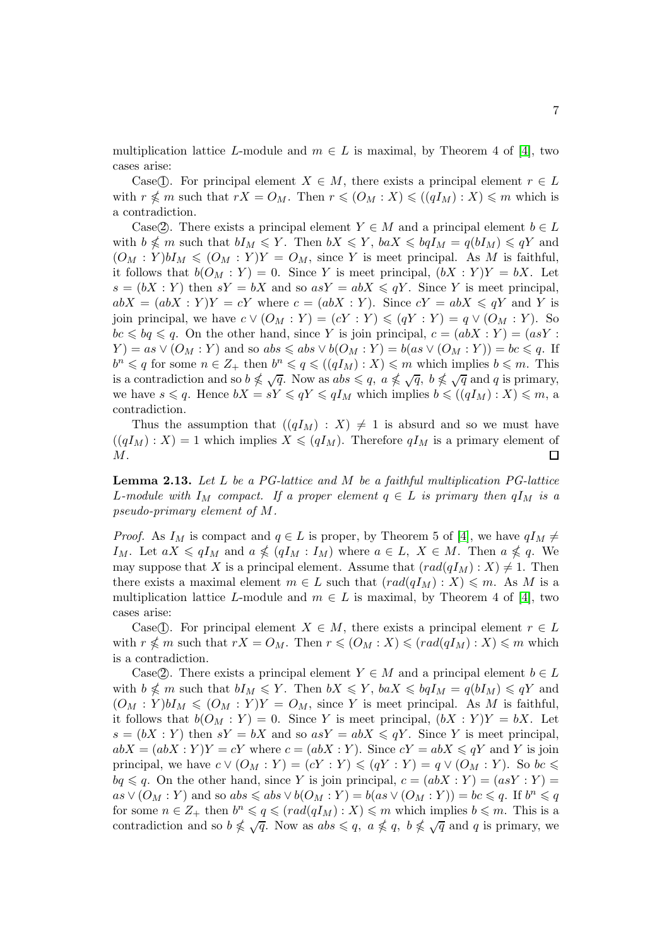multiplication lattice L-module and  $m \in L$  is maximal, by Theorem 4 of [\[4\]](#page-20-2), two cases arise:

Case(T). For principal element  $X \in M$ , there exists a principal element  $r \in L$ with  $r \nleq m$  such that  $rX = O_M$ . Then  $r \leqslant (O_M : X) \leqslant ((qI_M) : X) \leqslant m$  which is a contradiction.

Case(2). There exists a principal element  $Y \in M$  and a principal element  $b \in L$ with  $b \nleq m$  such that  $bI_M \leqslant Y$ . Then  $bX \leqslant Y$ ,  $baX \leqslant bqI_M = q(bI_M) \leqslant qY$  and  $(O_M: Y) b I_M \leq (O_M: Y) Y = O_M$ , since Y is meet principal. As M is faithful, it follows that  $b(O_M : Y) = 0$ . Since Y is meet principal,  $(bX : Y)Y = bX$ . Let  $s = (bX : Y)$  then  $sY = bX$  and so  $asY = abX \le qY$ . Since Y is meet principal,  $abX = (abX : Y)Y = cY$  where  $c = (abX : Y)$ . Since  $cY = abX \leq qY$  and Y is join principal, we have  $c \vee (O_M : Y) = (cY : Y) \leq (qY : Y) = q \vee (O_M : Y)$ . So  $bc \leq bq \leq q$ . On the other hand, since Y is join principal,  $c = (abX : Y) = (asY : Y)$  $Y$ ) = as  $\vee$   $(O_M : Y)$  and so abs  $\leq$  abs  $\vee$   $b(O_M : Y)$  = b(as  $\vee$   $(O_M : Y)$ ) = bc  $\leq$  q. If  $b^n \leqslant q$  for some  $n \in \mathbb{Z}_+$  then  $b^n \leqslant q \leqslant ((qI_M) : X) \leqslant m$  which implies  $b \leqslant m$ . This is a contradiction and so  $b \nleq \sqrt{q}$ . Now as  $abs \leq q$ ,  $a \nleq \sqrt{q}$ ,  $b \nleq \sqrt{q}$  and q is primary, we have  $s \leq q$ . Hence  $bX = sY \leq qY \leq qI_M$  which implies  $b \leq (qI_M) : X \leq m$ , a contradiction.

Thus the assumption that  $((qI_M) : X) \neq 1$  is absurd and so we must have  $((qI_M):X)=1$  which implies  $X\leqslant (qI_M)$ . Therefore  $qI_M$  is a primary element of  $M$ .  $\Box$ 

<span id="page-6-0"></span>Lemma 2.13. *Let* L *be a PG-lattice and* M *be a faithful multiplication PG-lattice* L-module with  $I_M$  compact. If a proper element  $q \in L$  *is primary then*  $qI_M$  *is a pseudo-primary element of* M*.*

*Proof.* As  $I_M$  is compact and  $q \in L$  is proper, by Theorem 5 of [\[4\]](#page-20-2), we have  $qI_M \neq$ I<sub>M</sub>. Let  $aX \leqslant qI_M$  and  $a \nleqslant (qI_M : I_M)$  where  $a \in L$ ,  $X \in M$ . Then  $a \nleqslant q$ . We may suppose that X is a principal element. Assume that  $\text{rad}(qI_M) : X \neq 1$ . Then there exists a maximal element  $m \in L$  such that  $\text{ } (rad(qI_M) : X) \leq m$ . As M is a multiplication lattice L-module and  $m \in L$  is maximal, by Theorem 4 of [\[4\]](#page-20-2), two cases arise:

Case(1). For principal element  $X \in M$ , there exists a principal element  $r \in L$ with  $r \nless m$  such that  $rX = O_M$ . Then  $r \leqslant (O_M : X) \leqslant (rad(qI_M) : X) \leqslant m$  which is a contradiction.

Case(2). There exists a principal element  $Y \in M$  and a principal element  $b \in L$ with  $b \nleq m$  such that  $bI_M \leqslant Y$ . Then  $bX \leqslant Y$ ,  $baX \leqslant bqI_M = q(bI_M) \leqslant qY$  and  $(O_M: Y) b I_M \leqslant (O_M: Y) Y = O_M$ , since Y is meet principal. As M is faithful, it follows that  $b(O_M : Y) = 0$ . Since Y is meet principal,  $(bX : Y)Y = bX$ . Let  $s = (bX : Y)$  then  $sY = bX$  and so  $asY = abX \le qY$ . Since Y is meet principal,  $abX = (abX : Y)Y = cY$  where  $c = (abX : Y)$ . Since  $cY = abX \le qY$  and Y is join principal, we have  $c \vee (O_M : Y) = (cY : Y) \leq (qY : Y) = q \vee (O_M : Y)$ . So  $bc \leq$  $bq \leq q$ . On the other hand, since Y is join principal,  $c = (abX : Y) = (asY : Y) =$  $as \vee (O_M : Y)$  and so  $abs \leq abs \vee b(O_M : Y) = b(as \vee (O_M : Y)) = bc \leq q$ . If  $b^n \leq q$ for some  $n \in \mathbb{Z}_+$  then  $b^n \leqslant q \leqslant (rad(qI_M) : X) \leqslant m$  which implies  $b \leqslant m$ . This is a contradiction and so  $b \nleq \sqrt{q}$ . Now as  $abs \leq q$ ,  $a \nleq q$ ,  $b \nleq \sqrt{q}$  and q is primary, we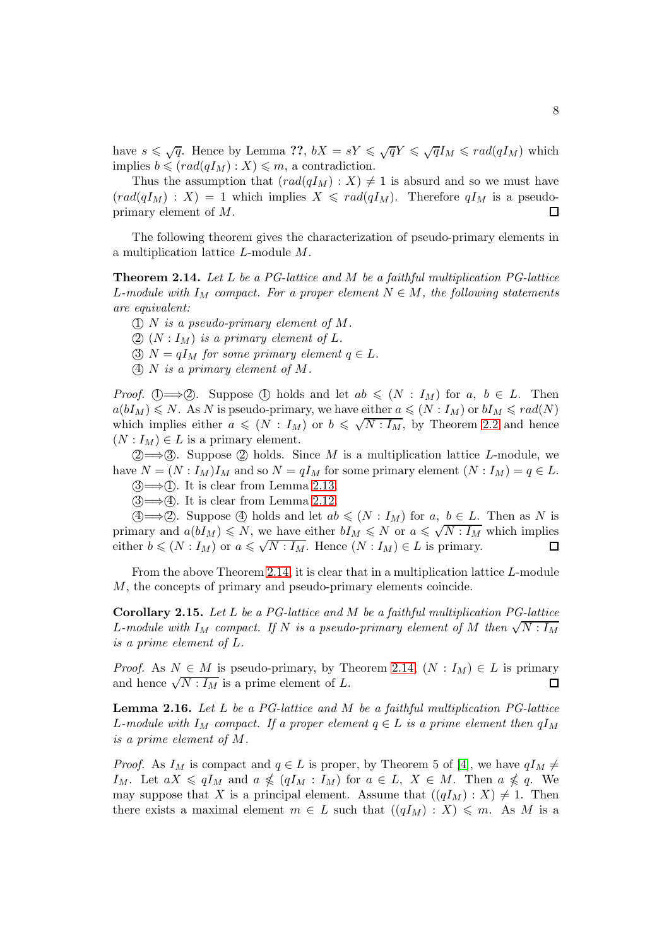have  $s \leq \sqrt{q}$ . Hence by Lemma ??,  $bX = sY \leq \sqrt{q}Y \leq \sqrt{q}I_M \leq rad(qI_M)$  which implies  $b \leqslant (rad(qI_M): X) \leqslant m$ , a contradiction.

Thus the assumption that  $\text{rad}(qI_M) : X \geq 1$  is absurd and so we must have  $\text{grad}(qI_M) : X) = 1$  which implies  $X \leqslant \text{rad}(qI_M)$ . Therefore  $qI_M$  is a pseudoprimary element of M. 囗

The following theorem gives the characterization of pseudo-primary elements in a multiplication lattice L-module M.

<span id="page-7-0"></span>Theorem 2.14. *Let* L *be a PG-lattice and* M *be a faithful multiplication PG-lattice* L-module with  $I_M$  compact. For a proper element  $N \in M$ , the following statements *are equivalent:*

1 N *is a pseudo-primary element of* M*.*

 $(2)$   $(N: I_M)$  *is a primary element of*  $L$ .

 $\textcircled{3}$  N =  $qI_M$  *for some primary element*  $q \in L$ *.* 

4 N *is a primary element of* M*.*

*Proof.* (1)  $\Longrightarrow$  (2). Suppose (1) holds and let  $ab \leq (N : I_M)$  for  $a, b \in L$ . Then  $a(bI_M) \leq N$ . As N is pseudo-primary, we have either  $a \leq (N : I_M)$  or  $bI_M \leq rad(N)$ which implies either  $a \leq N : I_M$  or  $b \leq \sqrt{N : I_M}$ , by Theorem [2](#page-3-2).2 and hence  $(N: I_M) \in L$  is a primary element.

 $(2) \rightarrow 3$ . Suppose (2) holds. Since M is a multiplication lattice L-module, we have  $N = (N : I_M)I_M$  and so  $N = qI_M$  for some primary element  $(N : I_M) = q \in L$ .  $(3) \rightarrow (1)$ . It is clear from Lemma 2.[13.](#page-6-0)

 $(3) \rightarrow (4)$ . It is clear from Lemma 2.[12.](#page-5-0)

 $\textcircled{4} \Longrightarrow$  2. Suppose  $\textcircled{4}$  holds and let  $ab \leqslant (N : I_M)$  for  $a, b \in L$ . Then as N is primary and  $a(bI_M) \leq N$ , we have either  $bI_M \leq N$  or  $a \leq \sqrt{N:I_M}$  which implies either  $b \leqslant (N : I_M)$  or  $a \leqslant \sqrt{N : I_M}$ . Hence  $(N : I_M) \in L$  is primary. 口

From the above Theorem [2.14,](#page-7-0) it is clear that in a multiplication lattice L-module M, the concepts of primary and pseudo-primary elements coincide.

<span id="page-7-2"></span>Corollary 2.15. *Let* L *be a PG-lattice and* M *be a faithful multiplication PG-lattice* L-module with  $I_M$  compact. If N is a pseudo-primary element of M then  $\sqrt{N:I_M}$ *is a prime element of* L*.*

*Proof.* As  $N \in M$  is pseudo-primary, by Theorem 2.[14,](#page-7-0)  $(N : I_M) \in L$  is primary and hence  $\sqrt{N : I_M}$  is a prime element of L. and hence  $\sqrt{N: I_M}$  is a prime element of L.

<span id="page-7-1"></span>Lemma 2.16. *Let* L *be a PG-lattice and* M *be a faithful multiplication PG-lattice* L-module with  $I_M$  compact. If a proper element  $q \in L$  is a prime element then  $qI_M$ *is a prime element of* M*.*

*Proof.* As  $I_M$  is compact and  $q \in L$  is proper, by Theorem 5 of [\[4\]](#page-20-2), we have  $qI_M \neq$  $I_M$ . Let  $aX \leq qI_M$  and  $a \nleq (qI_M : I_M)$  for  $a \in L$ ,  $X \in M$ . Then  $a \nleq q$ . We may suppose that X is a principal element. Assume that  $((qI_M) : X) \neq 1$ . Then there exists a maximal element  $m \in L$  such that  $((qI_M) : X) \leq m$ . As M is a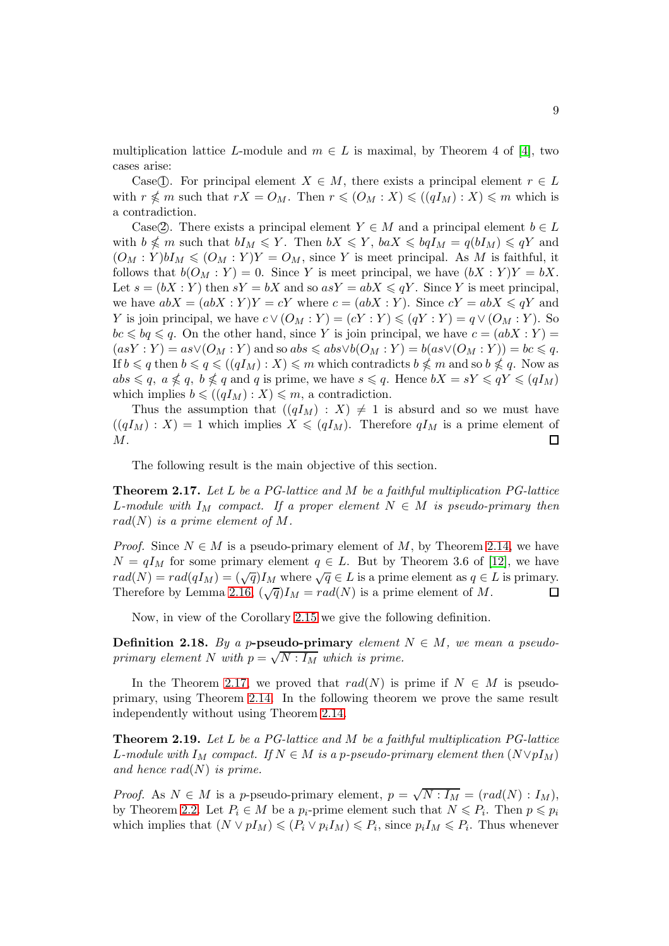multiplication lattice L-module and  $m \in L$  is maximal, by Theorem 4 of [\[4\]](#page-20-2), two cases arise:

Case(T). For principal element  $X \in M$ , there exists a principal element  $r \in L$ with  $r \nleq m$  such that  $rX = O_M$ . Then  $r \leqslant (O_M : X) \leqslant ((qI_M) : X) \leqslant m$  which is a contradiction.

Case(2). There exists a principal element  $Y \in M$  and a principal element  $b \in L$ with  $b \nleq m$  such that  $bI_M \leqslant Y$ . Then  $bX \leqslant Y$ ,  $baX \leqslant bqI_M = q(bI_M) \leqslant qY$  and  $(O_M: Y) b I_M \leq (O_M: Y) Y = O_M$ , since Y is meet principal. As M is faithful, it follows that  $b(O_M : Y) = 0$ . Since Y is meet principal, we have  $(bX : Y)Y = bX$ . Let  $s = (bX : Y)$  then  $sY = bX$  and so  $asY = abX \le qY$ . Since Y is meet principal, we have  $abX = (abX : Y)Y = cY$  where  $c = (abX : Y)$ . Since  $cY = abX \le qY$  and Y is join principal, we have  $c \vee (O_M : Y) = (cY : Y) \leq (qY : Y) = q \vee (O_M : Y)$ . So  $bc \leq bq \leq q$ . On the other hand, since Y is join principal, we have  $c = (abX : Y) =$  $(asY:Y) = as \vee (O_M:Y)$  and so  $abs \leq abs \vee b(O_M:Y) = b(as \vee (O_M:Y)) = bc \leq q$ . If  $b \leqslant q$  then  $b \leqslant q \leqslant ((qI_M):X) \leqslant m$  which contradicts  $b \nleqslant m$  and so  $b \nleqslant q$ . Now as  $abs \leqslant q, \ a \nleqslant q, \ b \nleqslant q \text{ and } q \text{ is prime, we have } s \leqslant q. \text{ Hence } bX = sY \leqslant qY \leqslant (qI_M)$ which implies  $b \leq (qI_M) : X \leq m$ , a contradiction.

Thus the assumption that  $((qI_M) : X) \neq 1$  is absurd and so we must have  $((qI_M) : X) = 1$  which implies  $X \leq (qI_M)$ . Therefore  $qI_M$  is a prime element of M.  $\Box$ 

The following result is the main objective of this section.

<span id="page-8-0"></span>Theorem 2.17. *Let* L *be a PG-lattice and* M *be a faithful multiplication PG-lattice* L-module with  $I_M$  compact. If a proper element  $N \in M$  is pseudo-primary then  $rad(N)$  *is a prime element of*  $M$ *.* 

*Proof.* Since  $N \in M$  is a pseudo-primary element of M, by Theorem 2.[14,](#page-7-0) we have  $N = qI_M$  for some primary element  $q \in L$ . But by Theorem 3.6 of [\[12\]](#page-21-0), we have  $rad(N) = rad(qI_M) = (\sqrt{q})I_M$  where  $\sqrt{q} \in L$  is a prime element as  $q \in L$  is primary. Therefore by Lemma [2.16,](#page-7-1)  $(\sqrt{q})I_M = rad(N)$  is a prime element of M.

Now, in view of the Corollary 2.[15](#page-7-2) we give the following definition.

**Definition 2.18.** By a p-pseudo-primary *element*  $N \in M$ , we mean a pseudo*primary element* N with  $p = \sqrt{N : I_M}$  which is prime.

In the Theorem 2.[17,](#page-8-0) we proved that  $rad(N)$  is prime if  $N \in M$  is pseudoprimary, using Theorem 2.[14.](#page-7-0) In the following theorem we prove the same result independently without using Theorem 2.[14.](#page-7-0)

<span id="page-8-1"></span>Theorem 2.19. *Let* L *be a PG-lattice and* M *be a faithful multiplication PG-lattice* L-module with  $I_M$  compact. If  $N \in M$  is a p-pseudo-primary element then  $(N \vee pI_M)$ *and hence* rad(N) *is prime.*

*Proof.* As  $N \in M$  is a p-pseudo-primary element,  $p = \sqrt{N: I_M} = (rad(N): I_M)$ , by Theorem [2](#page-3-2).2. Let  $P_i \in M$  be a  $p_i$ -prime element such that  $N \leq P_i$ . Then  $p \leq p_i$ which implies that  $(N \vee pI_M) \leqslant (P_i \vee p_iI_M) \leqslant P_i$ , since  $p_iI_M \leqslant P_i$ . Thus whenever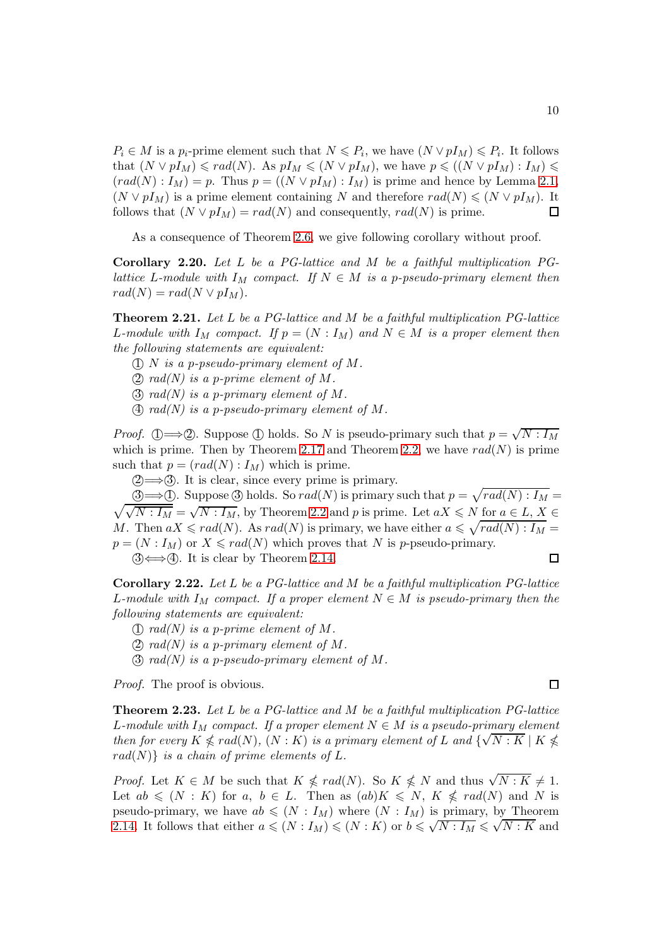$P_i \in M$  is a  $p_i$ -prime element such that  $N \leq P_i$ , we have  $(N \vee pI_M) \leq P_i$ . It follows that  $(N \vee pI_M) \leqslant rad(N)$ . As  $pI_M \leqslant (N \vee pI_M)$ , we have  $p \leqslant ((N \vee pI_M) : I_M) \leqslant$  $(rad(N): I_M) = p.$  Thus  $p = ((N \vee pI_M): I_M)$  is prime and hence by Lemma [2](#page-2-0).1,  $(N \vee pI_M)$  is a prime element containing N and therefore  $rad(N) \leq N \vee pI_M$ . It follows that  $(N \vee pI_M) = rad(N)$  and consequently,  $rad(N)$  is prime.

As a consequence of Theorem [2.6,](#page-3-1) we give following corollary without proof.

follows that  $(N \vee pI_M) = rad(N)$  and consequently,  $rad(N)$  is prime.

Corollary 2.20. *Let* L *be a PG-lattice and* M *be a faithful multiplication PGlattice* L-module with  $I_M$  compact. If  $N \in M$  is a p-pseudo-primary element then  $rad(N) = rad(N \vee pI_M)$ .

Theorem 2.21. *Let* L *be a PG-lattice and* M *be a faithful multiplication PG-lattice* L-module with  $I_M$  compact. If  $p = (N : I_M)$  and  $N \in M$  is a proper element then *the following statements are equivalent:*

- 1 N *is a* p*-pseudo-primary element of* M*.*
- (2)  $rad(N)$  is a p-prime element of M.
- 3 *rad(N) is a* p*-primary element of* M*.*
- 4 *rad(N) is a* p*-pseudo-primary element of* M*.*

*Proof.* ①  $\Longrightarrow$  ②. Suppose ① holds. So N is pseudo-primary such that  $p = \sqrt{N : I_M}$ which is prime. Then by Theorem 2.[17](#page-8-0) and Theorem [2](#page-3-2).2, we have  $rad(N)$  is prime such that  $p = (rad(N) : I_M)$  which is prime.

 $(2) \rightarrow 3$ . It is clear, since every prime is primary.

<u>3⇒</u> ①. Suppose 3 holds. So  $rad(N)$  is primary such that  $p = \sqrt{rad(N) : I_M}$  $\sqrt{\sqrt{N: I_M}} = \sqrt{N: I_M}$ , by Theorem [2](#page-3-2).2 and p is prime. Let  $aX \leqslant N$  for  $a \in L, X \in$ M. Then  $aX \leqslant rad(N)$ . As  $rad(N)$  is primary, we have either  $a \leqslant \sqrt{rad(N) : I_M} =$  $p = (N : I_M)$  or  $X \leqslant rad(N)$  which proves that N is p-pseudo-primary.  $\Box$ 

 $\textcircled{3} \Longleftrightarrow \textcircled{4}$ . It is clear by Theorem 2.[14.](#page-7-0)

Corollary 2.22. *Let* L *be a PG-lattice and* M *be a faithful multiplication PG-lattice* L-module with  $I_M$  compact. If a proper element  $N \in M$  is pseudo-primary then the *following statements are equivalent:*

- (1)  $rad(N)$  is a p-prime element of M.
- 2 *rad(N) is a* p*-primary element of* M*.*
- 3 *rad(N) is a* p*-pseudo-primary element of* M*.*

*Proof.* The proof is obvious.

Theorem 2.23. *Let* L *be a PG-lattice and* M *be a faithful multiplication PG-lattice* L-module with  $I_M$  compact. If a proper element  $N \in M$  is a pseudo-primary element *then for every*  $K \nleq rad(N)$ ,  $(N : K)$  *is a primary element of* L *and*  $\{\sqrt{N : K} \mid K \nleq K\}$  $rad(N)$ *} is a chain of prime elements of L.* 

*Proof.* Let  $K \in M$  be such that  $K \nleqslant rad(N)$ . So  $K \nleqslant N$  and thus  $\sqrt{N:K} \neq 1$ . Let  $ab \leq (N : K)$  for  $a, b \in L$ . Then as  $(ab)K \leq N$ ,  $K \nleq rad(N)$  and N is pseudo-primary, we have  $ab \leq (N : I_M)$  where  $(N : I_M)$  is primary, by Theorem 2.[14.](#page-7-0) It follows that either  $a \leq (N : I_M) \leq (N : K)$  or  $b \leq \sqrt{N : I_M} \leq \sqrt{N : K}$  and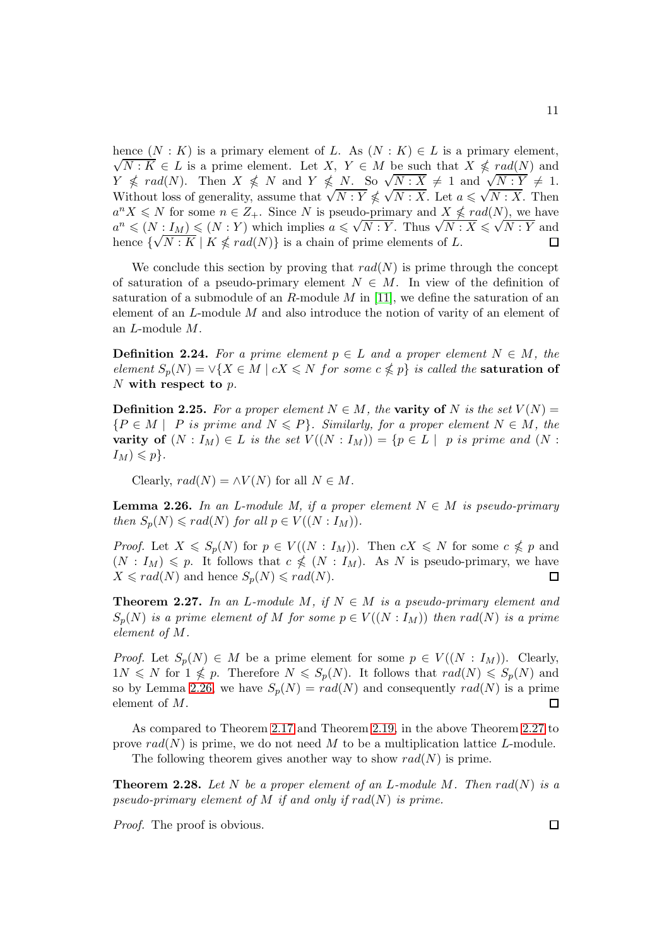hence  $(N: K)$  is a primary element of L. As  $(N: K) \in L$  is a primary element,  $\sqrt{N: K} \in L$  is a prime element. Let  $X, Y \in M$  be such that  $X \nleq rad(N)$  and  $Y \nleq rad(N)$ . Then  $X \nleq N$  and  $Y \nleq N$ . So  $\sqrt{N : X} \neq 1$  and  $\sqrt{N : Y} \neq 1$ .<br>Without loss of generality, assume that  $\sqrt{N : Y} \nleq \sqrt{N : X}$ . Let  $a \leq \sqrt{N : X}$ . Then  $a^n X \leq N$  for some  $n \in \mathbb{Z}_+$ . Since N is pseudo-primary and  $X \nleq rad(N)$ , we have  $a^n \leq (N : I_M) \leq (N : Y)$  which implies  $a \leq \sqrt{N : Y}$ . Thus  $\sqrt{N : X} \leq \sqrt{N : Y}$  and hence  $\{\sqrt{N: K} \mid K \nleq rad(N)\}\$  is a chain of prime elements of L. П

We conclude this section by proving that  $rad(N)$  is prime through the concept of saturation of a pseudo-primary element  $N \in M$ . In view of the definition of saturation of a submodule of an  $R$ -module  $M$  in [\[11\]](#page-21-2), we define the saturation of an element of an L-module M and also introduce the notion of varity of an element of an L-module M.

**Definition 2.24.** For a prime element  $p \in L$  and a proper element  $N \in M$ , the  $element S_p(N) = \vee \{X \in M \mid cX \leq N \text{ for some } c \nleq p\}$  *is called the* **saturation of** N with respect to p*.*

**Definition 2.25.** For a proper element  $N \in M$ , the varity of N is the set  $V(N) =$  ${P \in M \mid P \text{ is prime and } N \leqslant P}$ *. Similarly, for a proper element*  $N \in M$ *, the* varity of  $(N: I_M) \in L$  *is the set*  $V((N: I_M)) = \{p \in L \mid p \text{ is prime and } (N : I_M)\}$  $I_M) \leqslant p$ .

Clearly,  $rad(N) = \wedge V(N)$  for all  $N \in M$ .

<span id="page-10-0"></span>**Lemma 2.26.** In an L-module M, if a proper element  $N \in M$  is pseudo-primary *then*  $S_p(N) \leqslant rad(N)$  *for all*  $p \in V((N : I_M))$ *.* 

*Proof.* Let  $X \leq S_p(N)$  for  $p \in V((N : I_M))$ . Then  $cX \leq N$  for some  $c \nleq p$  and  $(N: I_M) \leqslant p$ . It follows that  $c \nleqslant (N: I_M)$ . As N is pseudo-primary, we have  $X \leqslant rad(N)$  and hence  $S_p(N) \leqslant rad(N)$ . 口

<span id="page-10-1"></span>**Theorem 2.27.** In an L-module M, if  $N \in M$  is a pseudo-primary element and  $S_p(N)$  *is a prime element of* M *for some*  $p \in V((N : I_M))$  *then* rad(N) *is a prime element of* M*.*

*Proof.* Let  $S_p(N) \in M$  be a prime element for some  $p \in V((N : I_M))$ . Clearly,  $1N \leq N$  for  $1 \nleq p$ . Therefore  $N \leq S_p(N)$ . It follows that  $rad(N) \leq S_p(N)$  and so by Lemma 2.[26,](#page-10-0) we have  $S_p(N) = rad(N)$  and consequently  $rad(N)$  is a prime element of M. 囗

As compared to Theorem 2.[17](#page-8-0) and Theorem 2.[19,](#page-8-1) in the above Theorem 2.[27](#page-10-1) to prove  $rad(N)$  is prime, we do not need M to be a multiplication lattice L-module. The following theorem gives another way to show  $rad(N)$  is prime.

**Theorem 2.28.** Let N be a proper element of an L-module M. Then  $rad(N)$  is a *pseudo-primary element of* M *if and only if* rad(N) *is prime.*

*Proof.* The proof is obvious.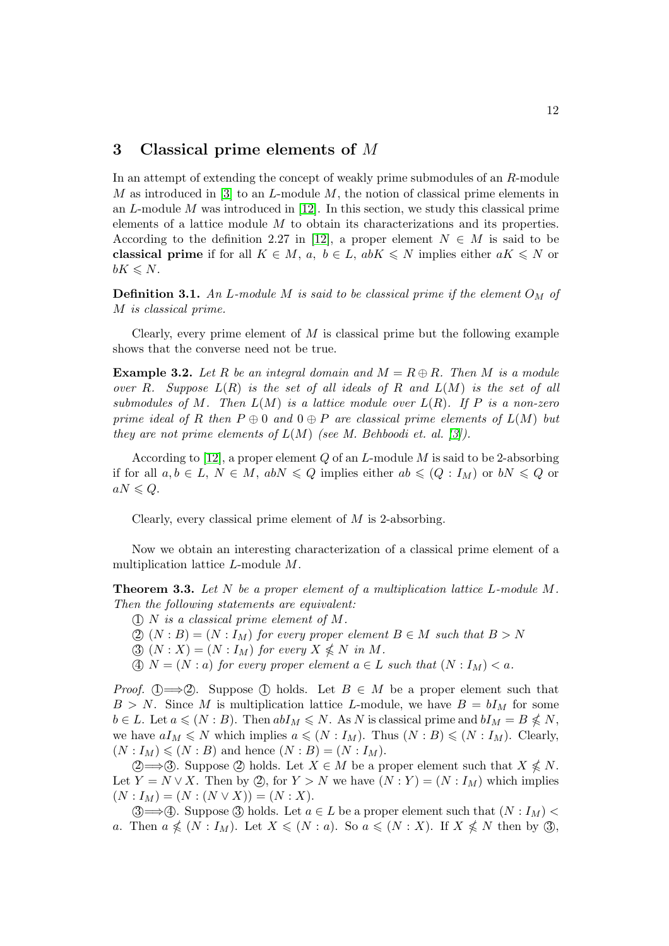### 3 Classical prime elements of M

In an attempt of extending the concept of weakly prime submodules of an R-module M as introduced in [\[3\]](#page-20-7) to an L-module M, the notion of classical prime elements in an  $L$ -module  $M$  was introduced in [\[12\]](#page-21-0). In this section, we study this classical prime elements of a lattice module M to obtain its characterizations and its properties. According to the definition 2.27 in [\[12\]](#page-21-0), a proper element  $N \in M$  is said to be classical prime if for all  $K \in M$ ,  $a, b \in L$ ,  $abK \leq N$  implies either  $aK \leq N$  or  $bK \leqslant N$ .

**Definition 3.1.** An L-module M is said to be classical prime if the element  $O_M$  of M *is classical prime.*

Clearly, every prime element of  $M$  is classical prime but the following example shows that the converse need not be true.

**Example 3.2.** Let R be an integral domain and  $M = R \oplus R$ . Then M is a module *over* R*. Suppose* L(R) *is the set of all ideals of* R *and* L(M) *is the set of all submodules of* M*. Then* L(M) *is a lattice module over* L(R)*. If* P *is a non-zero prime ideal of* R *then*  $P \oplus 0$  *and*  $0 \oplus P$  *are classical prime elements of*  $L(M)$  *but they are not prime elements of* L(M) *(see M. Behboodi et. al. [\[3\]](#page-20-7)).*

According to [\[12\]](#page-21-0), a proper element  $Q$  of an  $L$ -module  $M$  is said to be 2-absorbing if for all  $a, b \in L$ ,  $N \in M$ ,  $abN \leq Q$  implies either  $ab \leq (Q : I_M)$  or  $bN \leq Q$  or  $aN \leq Q$ .

Clearly, every classical prime element of  $M$  is 2-absorbing.

Now we obtain an interesting characterization of a classical prime element of a multiplication lattice L-module M.

<span id="page-11-0"></span>Theorem 3.3. *Let* N *be a proper element of a multiplication lattice* L*-module* M*. Then the following statements are equivalent:*

- 1 N *is a classical prime element of* M*.*
- (2)  $(N : B) = (N : I_M)$  *for every proper element*  $B \in M$  *such that*  $B > N$
- $\textcircled{3}$   $(N : X) = (N : I_M)$  *for every*  $X \nleq N$  *in M.*
- $\textcircled{4}$  N = (N : a) for every proper element  $a \in L$  such that  $(N: I_M) < a$ .

*Proof.* (1)  $\Longrightarrow$  (2). Suppose (1) holds. Let  $B \in M$  be a proper element such that  $B > N$ . Since M is multiplication lattice L-module, we have  $B = bI_M$  for some  $b \in L$ . Let  $a \leqslant (N : B)$ . Then  $abI_M \leqslant N$ . As N is classical prime and  $bI_M = B \nleqslant N$ , we have  $aI_M \leq N$  which implies  $a \leq (N : I_M)$ . Thus  $(N : B) \leq (N : I_M)$ . Clearly,  $(N: I_M) \leqslant (N: B)$  and hence  $(N: B) = (N: I_M)$ .

 $\textcircled{2}\Longrightarrow$  3. Suppose  $\textcircled{2}$  holds. Let  $X \in M$  be a proper element such that  $X \nleq N$ . Let  $Y = N \vee X$ . Then by  $\mathcal{Q}$ , for  $Y > N$  we have  $(N : Y) = (N : I_M)$  which implies  $(N: I_M) = (N: (N \vee X)) = (N: X).$ 

(3)  $\Rightarrow$  (4). Suppose (3) holds. Let *a* ∈ *L* be a proper element such that  $(N : I_M)$  < a. Then  $a \nleq (N : I_M)$ . Let  $X \leq (N : a)$ . So  $a \leq (N : X)$ . If  $X \nleq N$  then by 3,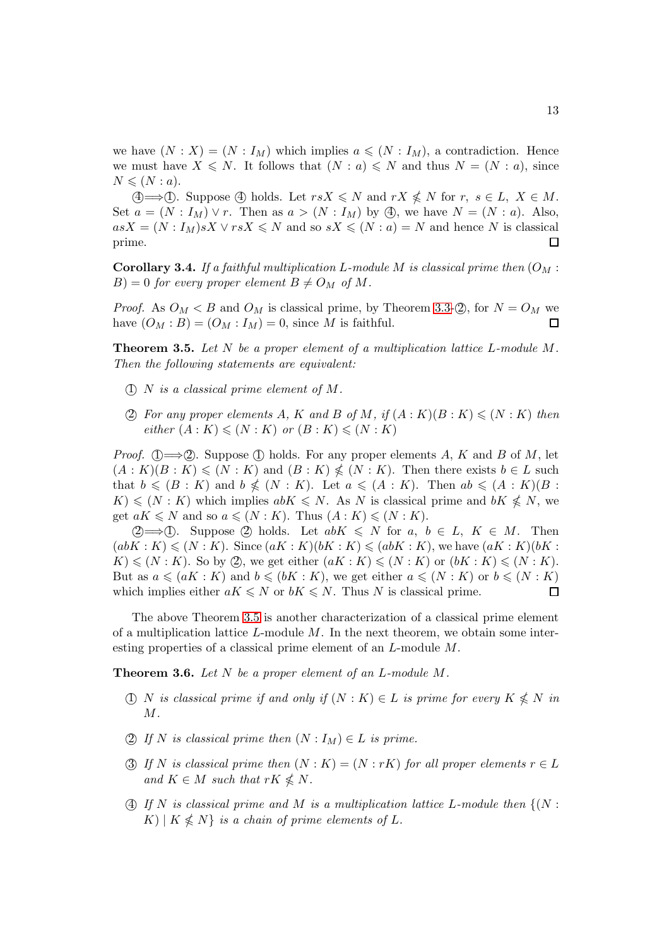we have  $(N : X) = (N : I_M)$  which implies  $a \leq (N : I_M)$ , a contradiction. Hence we must have  $X \leq N$ . It follows that  $(N : a) \leq N$  and thus  $N = (N : a)$ , since  $N \leqslant (N : a).$ 

 $\textcircled{4} \longrightarrow \textcircled{1}$ . Suppose  $\textcircled{4}$  holds. Let  $rsX \leq N$  and  $rX \nleq N$  for  $r, s \in L, X \in M$ . Set  $a = (N : I_M) \vee r$ . Then as  $a > (N : I_M)$  by  $\textcircled{4}$ , we have  $N = (N : a)$ . Also,  $asX = (N : I_M)sX \vee rsX \le N$  and so  $sX \le (N : a) = N$  and hence N is classical prime prime.

Corollary 3.4. *If a faithful multiplication* L*-module* M *is classical prime then* (O<sup>M</sup> :  $B$ ) = 0 *for every proper element*  $B \neq O_M$  *of* M.

*Proof.* As  $O_M < B$  and  $O_M$  is classical prime, by Theorem 3.[3-](#page-11-0) $\mathcal{Q}$ , for  $N = O_M$  we have  $(O_M : B) = (O_M : I_M) = 0$ , since M is faithful.

<span id="page-12-0"></span>Theorem 3.5. *Let* N *be a proper element of a multiplication lattice* L*-module* M*. Then the following statements are equivalent:*

- 1 N *is a classical prime element of* M*.*
- (2) For any proper elements A, K and B of M, if  $(A:K)(B:K) \leq N:K$  then *either*  $(A: K) \leqslant (N: K)$  *or*  $(B: K) \leqslant (N: K)$

*Proof.* (1)  $\Longrightarrow$  (2). Suppose (1) holds. For any proper elements A, K and B of M, let  $(A: K)(B: K) \leqslant (N: K)$  and  $(B: K) \nleqslant (N: K)$ . Then there exists  $b \in L$  such that  $b \leqslant (B : K)$  and  $b \nleqslant (N : K)$ . Let  $a \leqslant (A : K)$ . Then  $ab \leqslant (A : K)(B : K)$  $K \leqslant (N : K)$  which implies  $abK \leqslant N$ . As N is classical prime and  $bK \nleqslant N$ , we get  $aK \leq N$  and so  $a \leq (N : K)$ . Thus  $(A : K) \leq (N : K)$ .

 $(2) \longrightarrow (1)$ . Suppose (2) holds. Let  $abK \leq N$  for  $a, b \in L$ ,  $K \in M$ . Then  $(abK: K) \leqslant (N: K)$ . Since  $(aK: K)(bK: K) \leqslant (abK: K)$ , we have  $(aK: K)(bK: K)$  $K \leqslant (N : K)$ . So by (2), we get either  $(aK : K) \leqslant (N : K)$  or  $(bK : K) \leqslant (N : K)$ . But as  $a \leq (aK : K)$  and  $b \leq (bK : K)$ , we get either  $a \leq (N : K)$  or  $b \leq (N : K)$ which implies either  $aK \leq N$  or  $bK \leq N$ . Thus N is classical prime. □

The above Theorem [3.5](#page-12-0) is another characterization of a classical prime element of a multiplication lattice  $L$ -module  $M$ . In the next theorem, we obtain some interesting properties of a classical prime element of an L-module M.

<span id="page-12-1"></span>Theorem 3.6. *Let* N *be a proper element of an* L*-module* M*.*

- $(1)$  N *is classical prime if and only if*  $(N: K) \in L$  *is prime for every*  $K \nleq N$  *in* M*.*
- 2) If N is classical prime then  $(N: I_M) \in L$  is prime.
- 3) If N is classical prime then  $(N: K) = (N: rK)$  for all proper elements  $r \in L$ *and*  $K \in M$  *such that*  $rK \nleq N$ .
- $(4)$  *If* N is classical prime and M is a multiplication lattice L-module then  $\{(N :$  $K \mid K \nleq N$  *is a chain of prime elements of* L.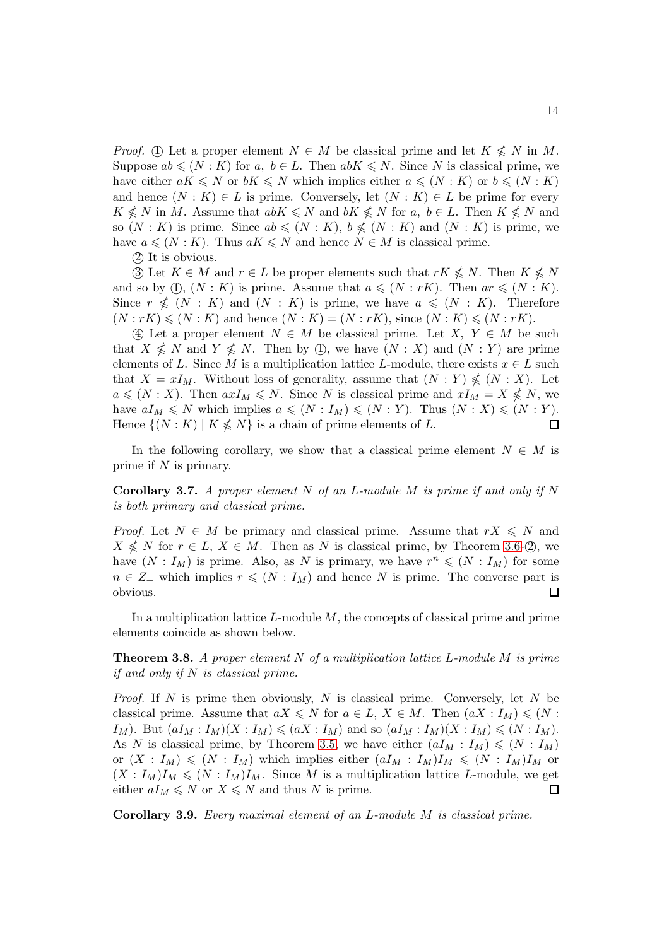*Proof.* ① Let a proper element  $N \in M$  be classical prime and let  $K \nleq N$  in M. Suppose  $ab \leqslant (N : K)$  for a,  $b \in L$ . Then  $abK \leqslant N$ . Since N is classical prime, we have either  $aK \leq N$  or  $bK \leq N$  which implies either  $a \leq (N : K)$  or  $b \leq (N : K)$ and hence  $(N : K) \in L$  is prime. Conversely, let  $(N : K) \in L$  be prime for every  $K \nleq N$  in M. Assume that  $abK \leq N$  and  $bK \nleq N$  for a,  $b \in L$ . Then  $K \nleq N$  and so  $(N: K)$  is prime. Since  $ab \leqslant (N: K)$ ,  $b \nleqslant (N: K)$  and  $(N: K)$  is prime, we have  $a \leq N : K$ . Thus  $aK \leq N$  and hence  $N \in M$  is classical prime.

(2) It is obvious.

3 Let  $K \in M$  and  $r \in L$  be proper elements such that  $rK \nleq N$ . Then  $K \nleq N$ and so by  $\mathbb{O}, (N : K)$  is prime. Assume that  $a \leqslant (N : rK)$ . Then  $ar \leqslant (N : K)$ . Since  $r \nleq (N : K)$  and  $(N : K)$  is prime, we have  $a \leq (N : K)$ . Therefore  $(N : rK) \leq N : K$  and hence  $(N : K) = (N : rK)$ , since  $(N : K) \leq N : rK$ .

4 Let a proper element  $N \in M$  be classical prime. Let  $X, Y \in M$  be such that  $X \nleq N$  and  $Y \nleq N$ . Then by  $\mathbb{O}$ , we have  $(N : X)$  and  $(N : Y)$  are prime elements of L. Since M is a multiplication lattice L-module, there exists  $x \in L$  such that  $X = xI_M$ . Without loss of generality, assume that  $(N:Y) \nleq (N:X)$ . Let  $a \leqslant (N : X)$ . Then  $axI_M \leqslant N$ . Since N is classical prime and  $xI_M = X \nleqslant N$ , we have  $aI_M \leq N$  which implies  $a \leq (N : I_M) \leq (N : Y)$ . Thus  $(N : X) \leq (N : Y)$ . Hence  $\{(N: K) | K \nleq N\}$  is a chain of prime elements of L.  $\Box$ 

In the following corollary, we show that a classical prime element  $N \in M$  is prime if  $N$  is primary.

Corollary 3.7. *A proper element* N *of an* L*-module* M *is prime if and only if* N *is both primary and classical prime.*

*Proof.* Let  $N \in M$  be primary and classical prime. Assume that  $rX \leq N$  and  $X \nleq N$  for  $r \in L$ ,  $X \in M$ . Then as N is classical prime, by Theorem 3.[6-](#page-12-1) $\oslash$ , we have  $(N: I_M)$  is prime. Also, as N is primary, we have  $r^n \leq (N: I_M)$  for some  $n \in \mathbb{Z}_+$  which implies  $r \leqslant (N : I_M)$  and hence N is prime. The converse part is obvious.  $\Box$ 

In a multiplication lattice  $L$ -module  $M$ , the concepts of classical prime and prime elements coincide as shown below.

Theorem 3.8. *A proper element* N *of a multiplication lattice* L*-module* M *is prime if and only if* N *is classical prime.*

*Proof.* If N is prime then obviously, N is classical prime. Conversely, let N be classical prime. Assume that  $aX \leq N$  for  $a \in L$ ,  $X \in M$ . Then  $(aX : I_M) \leq N$ :  $I_M$ ). But  $(aI_M: I_M)(X: I_M) \leqslant (aX: I_M)$  and so  $(aI_M: I_M)(X: I_M) \leqslant (N: I_M)$ . As N is classical prime, by Theorem [3.5,](#page-12-0) we have either  $(aI_M : I_M) \leq N : I_M$ or  $(X: I_M) \leqslant (N: I_M)$  which implies either  $(aI_M: I_M)I_M \leqslant (N: I_M)I_M$  or  $(X: I_M)I_M \leqslant (N: I_M)I_M$ . Since M is a multiplication lattice L-module, we get either  $aI_M \leq N$  or  $X \leq N$  and thus N is prime.  $\Box$ 

Corollary 3.9. *Every maximal element of an* L*-module* M *is classical prime.*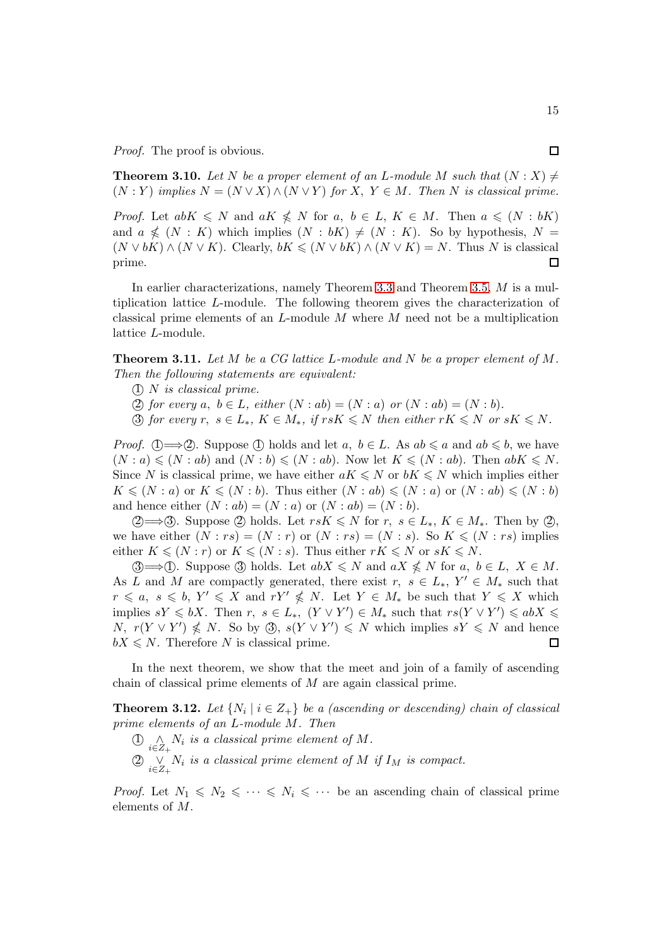*Proof.* The proof is obvious.

**Theorem 3.10.** Let N be a proper element of an L-module M such that  $(N : X) \neq$  $(N:Y)$  *implies*  $N = (N \vee X) \wedge (N \vee Y)$  *for* X,  $Y \in M$ . Then N *is classical prime.* 

*Proof.* Let  $abK \leq N$  and  $aK \nleq N$  for  $a, b \in L, K \in M$ . Then  $a \leq (N : bK)$ and  $a \nleq (N : K)$  which implies  $(N : bK) \neq (N : K)$ . So by hypothesis,  $N =$  $(N \vee bK) \wedge (N \vee K)$ . Clearly,  $bK \leq (N \vee bK) \wedge (N \vee K) = N$ . Thus N is classical prime. prime.

In earlier characterizations, namely Theorem [3](#page-11-0).3 and Theorem 3.[5,](#page-12-0) M is a multiplication lattice L-module. The following theorem gives the characterization of classical prime elements of an  $L$ -module  $M$  where  $M$  need not be a multiplication lattice L-module.

Theorem 3.11. *Let* M *be a CG lattice* L*-module and* N *be a proper element of* M*. Then the following statements are equivalent:*

1 N *is classical prime.*

(2) for every a,  $b \in L$ , either  $(N : ab) = (N : a)$  or  $(N : ab) = (N : b)$ .

 $\textcircled{3}$  *for every*  $r, s \in L_*, K \in M_*$ , if  $rsK \leq N$  *then either*  $rK \leq N$  *or*  $sK \leq N$ *.* 

*Proof.* (1)  $\Longrightarrow$  (2). Suppose (1) holds and let a,  $b \in L$ . As  $ab \leq a$  and  $ab \leq b$ , we have  $(N : a) \leqslant (N : ab)$  and  $(N : b) \leqslant (N : ab)$ . Now let  $K \leqslant (N : ab)$ . Then  $abK \leqslant N$ . Since N is classical prime, we have either  $aK \leq N$  or  $bK \leq N$  which implies either  $K \leqslant (N : a)$  or  $K \leqslant (N : b)$ . Thus either  $(N : ab) \leqslant (N : a)$  or  $(N : ab) \leqslant (N : b)$ and hence either  $(N : ab) = (N : a)$  or  $(N : ab) = (N : b)$ .

2→3. Suppose 2 holds. Let  $rsK \le N$  for  $r, s \in L_*, K \in M_*$ . Then by 2, we have either  $(N : rs) = (N : r)$  or  $(N : rs) = (N : s)$ . So  $K \leq (N : rs)$  implies either  $K \leqslant (N : r)$  or  $K \leqslant (N : s)$ . Thus either  $rK \leqslant N$  or  $sK \leqslant N$ .

**3**  $\Rightarrow$  **①**. Suppose **3** holds. Let  $abX \leq N$  and  $aX \nleq N$  for  $a, b \in L$ ,  $X \in M$ . As L and M are compactly generated, there exist  $r, s \in L_*, Y' \in M_*$  such that  $r \leq a, s \leq b, Y' \leq X \text{ and } rY' \nleq N.$  Let  $Y \in M_*$  be such that  $Y \leq X$  which implies  $sY \leqslant bX$ . Then  $r, s \in L_*$ ,  $(Y \vee Y') \in M_*$  such that  $rs(Y \vee Y') \leqslant abX \leqslant$ N,  $r(Y \vee Y') \nleq N$ . So by 3,  $s(Y \vee Y') \nleq N$  which implies  $sY \nleq N$  and hence  $bX \leq N$ . Therefore N is classical prime. П

In the next theorem, we show that the meet and join of a family of ascending chain of classical prime elements of M are again classical prime.

**Theorem 3.12.** Let  $\{N_i \mid i \in Z_+\}$  be a (ascending or descending) chain of classical *prime elements of an* L*-module* M*. Then*

- $\bigoplus_{i\in Z_+} \Lambda_i$  is a classical prime element of M.
- $\textcircled{2}$   $\underset{i\in Z_{+}}{\vee}$  *N<sub>i</sub> is a classical prime element of M if*  $I_{M}$  *is compact.*

*Proof.* Let  $N_1 \leq N_2 \leq \cdots \leq N_i \leq \cdots$  be an ascending chain of classical prime elements of M.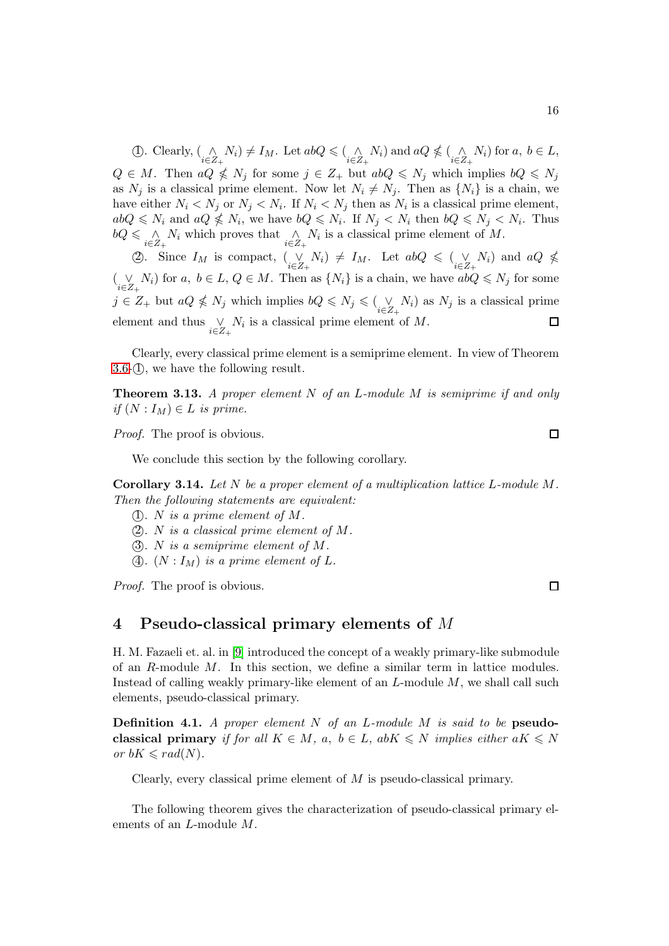(1). Clearly,  $\binom{\wedge}{i \in Z_+} N_i \neq I_M$ . Let  $abQ \leq \binom{\wedge}{i \in Z_+} N_i$  and  $aQ \nleq \binom{\wedge}{i \in Z_+} N_i$  for  $a, b \in L$ ,  $Q \in M$ . Then  $aQ \nleq N_j$  for some  $j \in Z_+$  but  $abQ \nleq N_j$  which implies  $bQ \nleq N_j$ as  $N_j$  is a classical prime element. Now let  $N_i \neq N_j$ . Then as  $\{N_i\}$  is a chain, we have either  $N_i < N_j$  or  $N_j < N_i$ . If  $N_i < N_j$  then as  $N_i$  is a classical prime element,  $abQ \leq N_i$  and  $aQ \nleq N_i$ , we have  $bQ \leq N_i$ . If  $N_j \leq N_i$  then  $bQ \leq N_j \leq N_i$ . Thus  $bQ \leq \bigwedge_{i \in Z_+} N_i$  which proves that  $\bigwedge_{i \in Z_+} N_i$  is a classical prime element of M.

2. Since  $I_M$  is compact,  $(\bigvee_{i\in Z_+} N_i) \neq I_M$ . Let  $abQ \leq (\bigvee_{i\in Z_+} N_i)$  and  $aQ \nleq$  $(\bigvee_{i\in Z_+} N_i)$  for  $a, b \in L, Q \in M$ . Then as  $\{N_i\}$  is a chain, we have  $abQ \leq N_j$  for some  $j \in Z_+$  but  $aQ \nleq N_j$  which implies  $bQ \nleq N_j \leq (\bigvee_{i \in Z_+} N_i)$  as  $N_j$  is a classical prime element and thus  $\bigvee_{i \in Z_+} N_i$  is a classical prime element of M.  $\Box$ 

Clearly, every classical prime element is a semiprime element. In view of Theorem  $3.6$ - $(1)$ , we have the following result.

Theorem 3.13. *A proper element* N *of an* L*-module* M *is semiprime if and only if*  $(N: I_M) \in L$  *is prime.* 

*Proof.* The proof is obvious.

We conclude this section by the following corollary.

Corollary 3.14. *Let* N *be a proper element of a multiplication lattice* L*-module* M*. Then the following statements are equivalent:*

- (1). *N* is a prime element of  $M$ .
- $(2)$ *. N* is a classical prime element of M.
- 3 *.* N *is a semiprime element of* M*.*
- $\Phi$ *.*  $(N: I_M)$  *is a prime element of*  $L$ *.*

*Proof.* The proof is obvious.

### 4 Pseudo-classical primary elements of M

H. M. Fazaeli et. al. in [\[9\]](#page-20-6) introduced the concept of a weakly primary-like submodule of an  $R$ -module  $M$ . In this section, we define a similar term in lattice modules. Instead of calling weakly primary-like element of an  $L$ -module  $M$ , we shall call such elements, pseudo-classical primary.

Definition 4.1. *A proper element* N *of an* L*-module* M *is said to be* pseudoclassical primary *if for all*  $K \in M$ ,  $a, b \in L$ ,  $abK \leq N$  *implies either*  $aK \leq N$ *or*  $bK \leqslant rad(N)$ *.* 

Clearly, every classical prime element of  $M$  is pseudo-classical primary.

The following theorem gives the characterization of pseudo-classical primary elements of an L-module M.

 $\Box$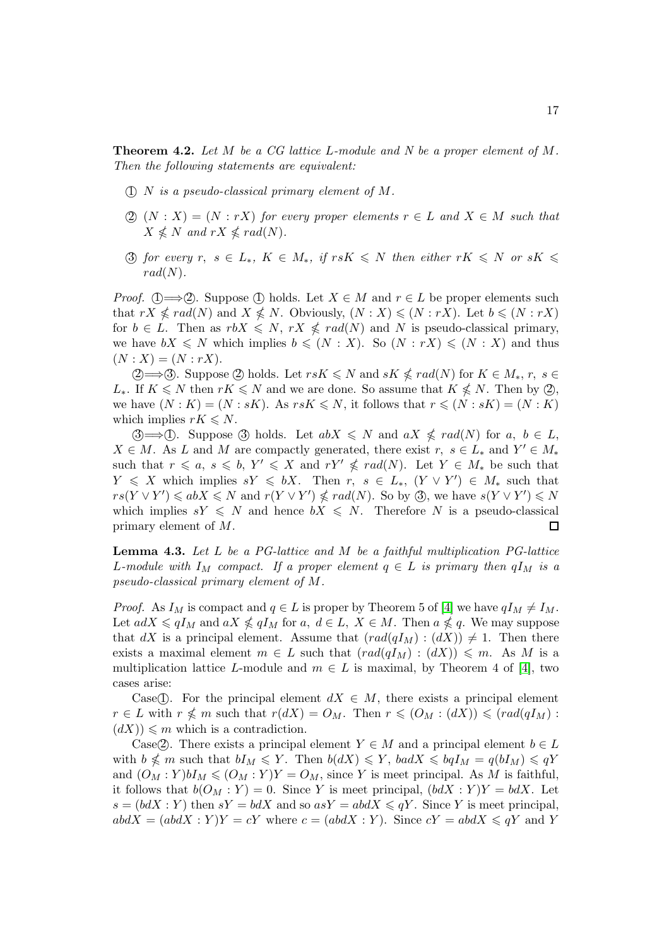Theorem 4.2. *Let* M *be a CG lattice* L*-module and N be a proper element of* M*. Then the following statements are equivalent:*

- 1 N *is a pseudo-classical primary element of* M*.*
- (2)  $(N : X) = (N : rX)$  *for every proper elements*  $r \in L$  *and*  $X \in M$  *such that*  $X \nleqslant N$  and  $rX \nleqslant rad(N)$ .
- 3 *for every*  $r, s \in L_*, K \in M_*$ , if  $rsK \leq N$  then either  $rK \leq N$  or  $sK \leq$  $rad(N)$ *.*

*Proof.*  $\mathbb{Q} \longrightarrow \mathbb{Q}$ . Suppose  $\mathbb{Q}$  holds. Let  $X \in M$  and  $r \in L$  be proper elements such that  $rX \nleqslant rad(N)$  and  $X \nleqslant N$ . Obviously,  $(N : X) \leqslant (N : rX)$ . Let  $b \leqslant (N : rX)$ for  $b \in L$ . Then as  $rbX \leq N$ ,  $rX \nleq rad(N)$  and N is pseudo-classical primary, we have  $bX \leq N$  which implies  $b \leq (N : X)$ . So  $(N : rX) \leq (N : X)$  and thus  $(N : X) = (N : rX).$ 

2 ⇒ 3. Suppose 2 holds. Let  $rsK \le N$  and  $sK \nleq rad(N)$  for  $K \in M_*, r, s \in$ L<sup>\*</sup>. If  $K \le N$  then  $rK \le N$  and we are done. So assume that  $K \le N$ . Then by  $\mathcal{D}$ , we have  $(N : K) = (N : sK)$ . As  $rsK \le N$ , it follows that  $r \le (N : sK) = (N : K)$ which implies  $rK \leq N$ .

 $\mathcal{B} \longrightarrow \mathbb{D}$ . Suppose  $\mathcal{B}$  holds. Let  $abX \leq N$  and  $aX \nleq rad(N)$  for  $a, b \in L$ ,  $X \in M$ . As L and M are compactly generated, there exist  $r, s \in L_*$  and  $Y' \in M_*$ such that  $r \leq a, s \leq b, Y' \leq X$  and  $rY' \leq rad(N)$ . Let  $Y \in M_*$  be such that  $Y \leqslant X$  which implies  $sY \leqslant bX$ . Then  $r, s \in L_*, (Y \vee Y') \in M_*$  such that  $rs(Y \vee Y') \leq abX \leq N$  and  $r(Y \vee Y') \nleq rad(N)$ . So by 3, we have  $s(Y \vee Y') \leq N$ which implies  $sY \leq N$  and hence  $bX \leq N$ . Therefore N is a pseudo-classical primary element of M. 口

<span id="page-16-0"></span>Lemma 4.3. *Let* L *be a PG-lattice and* M *be a faithful multiplication PG-lattice* L-module with  $I_M$  compact. If a proper element  $q \in L$  is primary then  $qI_M$  is a *pseudo-classical primary element of* M*.*

*Proof.* As  $I_M$  is compact and  $q \in L$  is proper by Theorem 5 of [\[4\]](#page-20-2) we have  $qI_M \neq I_M$ . Let  $adX \leqslant qI_M$  and  $aX \nleqslant qI_M$  for  $a, d \in L$ ,  $X \in M$ . Then  $a \nleqslant q$ . We may suppose that dX is a principal element. Assume that  $\text{(rad}(qI_M) : (dX)) \neq 1$ . Then there exists a maximal element  $m \in L$  such that  $\text{ } (rad(qI_M) : (dX)) \leq m$ . As M is a multiplication lattice L-module and  $m \in L$  is maximal, by Theorem 4 of [\[4\]](#page-20-2), two cases arise:

Case(T). For the principal element  $dX \in M$ , there exists a principal element  $r \in L$  with  $r \nleq m$  such that  $r(dX) = O_M$ . Then  $r \leq (O_M : (dX)) \leq (rad(qI_M) :$  $(dX)$ )  $\leqslant m$  which is a contradiction.

Case(2). There exists a principal element  $Y \in M$  and a principal element  $b \in L$ with  $b \nleq m$  such that  $bI_M \leqslant Y$ . Then  $b(dX) \leqslant Y$ ,  $badX \leqslant bqI_M = q(bI_M) \leqslant qY$ and  $(O_M:Y)bI_M \leq (O_M:Y)Y = O_M$ , since Y is meet principal. As M is faithful, it follows that  $b(O_M : Y) = 0$ . Since Y is meet principal,  $(bdX : Y)Y = bdX$ . Let  $s = (bdX : Y)$  then  $sY = bdX$  and so  $asY = abdX \le qY$ . Since Y is meet principal,  $abdX = (abdX : Y)Y = cY$  where  $c = (abdX : Y)$ . Since  $cY = abdX \le qY$  and Y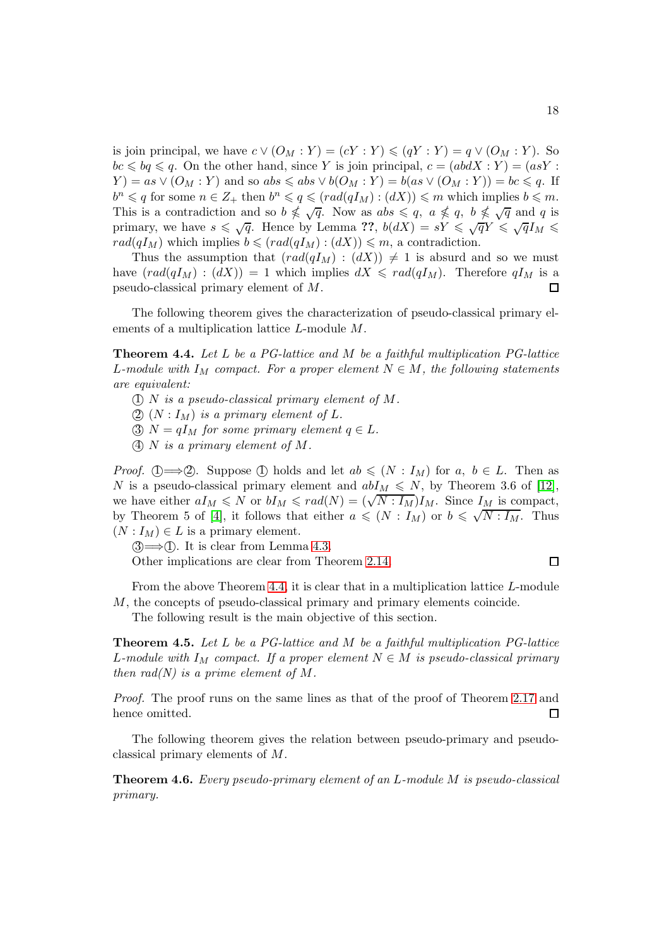is join principal, we have  $c \vee (O_M : Y) = (cY : Y) \leq (qY : Y) = q \vee (O_M : Y)$ . So  $bc \leqslant bq \leqslant q$ . On the other hand, since Y is join principal,  $c = (abdX : Y) = (asY : Y)$  $Y$ ) = as  $\vee$   $(O_M : Y)$  and so abs  $\leq$  abs  $\vee$   $b(O_M : Y)$  = b(as  $\vee$   $(O_M : Y)$ ) = bc  $\leq$  q. If  $b^n \leqslant q$  for some  $n \in \mathbb{Z}_+$  then  $b^n \leqslant q \leqslant (rad(qI_M) : (dX)) \leqslant m$  which implies  $b \leqslant m$ . This is a contradiction and so  $b \nleq \sqrt{q}$ . Now as  $abs \leq q$ ,  $a \nleq q$ ,  $b \nleq \sqrt{q}$  and q is primary, we have  $s \leq \sqrt{q}$ . Hence by Lemma ??,  $b(dX) = sY \leq \sqrt{q}Y \leq \sqrt{q}I_M$  $rad(qI_M)$  which implies  $b \leqslant (rad(qI_M) : (dX)) \leqslant m$ , a contradiction.

Thus the assumption that  $\text{rad}(qI_M) : (dX)) \neq 1$  is absurd and so we must have  $\text{rad}(qI_M) : (dX)) = 1$  which implies  $dX \leqslant \text{rad}(qI_M)$ . Therefore  $qI_M$  is a pseudo-classical primary element of M.  $\Box$ 

The following theorem gives the characterization of pseudo-classical primary elements of a multiplication lattice L-module M.

<span id="page-17-0"></span>Theorem 4.4. *Let* L *be a PG-lattice and* M *be a faithful multiplication PG-lattice* L-module with  $I_M$  compact. For a proper element  $N \in M$ , the following statements *are equivalent:*

- 1 N *is a pseudo-classical primary element of* M*.*
- (2)  $(N: I_M)$  *is a primary element of* L.
- $\textcircled{3}$  N =  $qI_M$  *for some primary element*  $q \in L$ *.*
- 4 N *is a primary element of* M*.*

*Proof.* (1)  $\Longrightarrow$  (2). Suppose (1) holds and let  $ab \leqslant (N : I_M)$  for  $a, b \in L$ . Then as N is a pseudo-classical primary element and  $abI_M \leq N$ , by Theorem 3.6 of [\[12\]](#page-21-0), we have either  $aI_M \leqslant N$  or  $bI_M \leqslant rad(N) = (\sqrt{N:I_M})I_M$ . Since  $I_M$  is compact, by Theorem 5 of [\[4\]](#page-20-2), it follows that either  $a \leqslant (N : I_M)$  or  $b \leqslant \sqrt{N : I_M}$ . Thus  $(N: I_M) \in L$  is a primary element.

 $\mathcal{I} \implies \mathcal{I}$ . It is clear from Lemma [4](#page-16-0).3. Other implications are clear from Theorem 2.[14.](#page-7-0)

#### $\Box$

From the above Theorem [4](#page-17-0).4, it is clear that in a multiplication lattice L-module M, the concepts of pseudo-classical primary and primary elements coincide.

The following result is the main objective of this section.

Theorem 4.5. *Let* L *be a PG-lattice and* M *be a faithful multiplication PG-lattice* L-module with  $I_M$  compact. If a proper element  $N \in M$  is pseudo-classical primary *then rad(N) is a prime element of* M*.*

*Proof.* The proof runs on the same lines as that of the proof of Theorem [2.17](#page-8-0) and hence omitted. □

The following theorem gives the relation between pseudo-primary and pseudoclassical primary elements of M.

<span id="page-17-1"></span>Theorem 4.6. *Every pseudo-primary element of an* L*-module* M *is pseudo-classical primary.*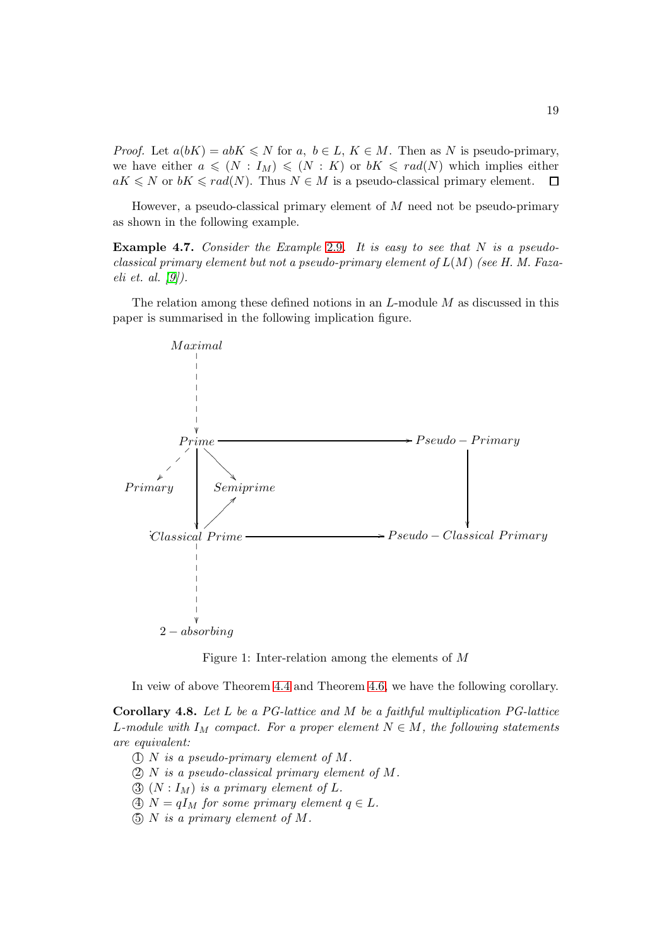*Proof.* Let  $a(bK) = abK \leq N$  for a,  $b \in L$ ,  $K \in M$ . Then as N is pseudo-primary, we have either  $a \leq N : I_M) \leq (N : K)$  or  $bK \leq rad(N)$  which implies either  $aK \leq N$  or  $bK \leq rad(N)$ . Thus  $N \in M$  is a pseudo-classical primary element.  $\Box$ 

However, a pseudo-classical primary element of  $M$  need not be pseudo-primary as shown in the following example.

Example 4.7. *Consider the Example* [2](#page-5-1).9*. It is easy to see that* N *is a pseudoclassical primary element but not a pseudo-primary element of* L(M) *(see H. M. Fazaeli et. al. [\[9\]](#page-20-6)).*

The relation among these defined notions in an  $L$ -module  $M$  as discussed in this paper is summarised in the following implication figure.



Figure 1: Inter-relation among the elements of M

In veiw of above Theorem 4.[4](#page-17-0) and Theorem [4](#page-17-1).6, we have the following corollary.

Corollary 4.8. *Let* L *be a PG-lattice and* M *be a faithful multiplication PG-lattice* L-module with  $I_M$  compact. For a proper element  $N \in M$ , the following statements *are equivalent:*

- 1 N *is a pseudo-primary element of* M*.*
- 2 N *is a pseudo-classical primary element of* M*.*
- $\textcircled{3}$   $(N: I_M)$  *is a primary element of L.*
- $\textcircled{4}$  N =  $qI_M$  *for some primary element*  $q \in L$ *.*
- 5 N *is a primary element of* M*.*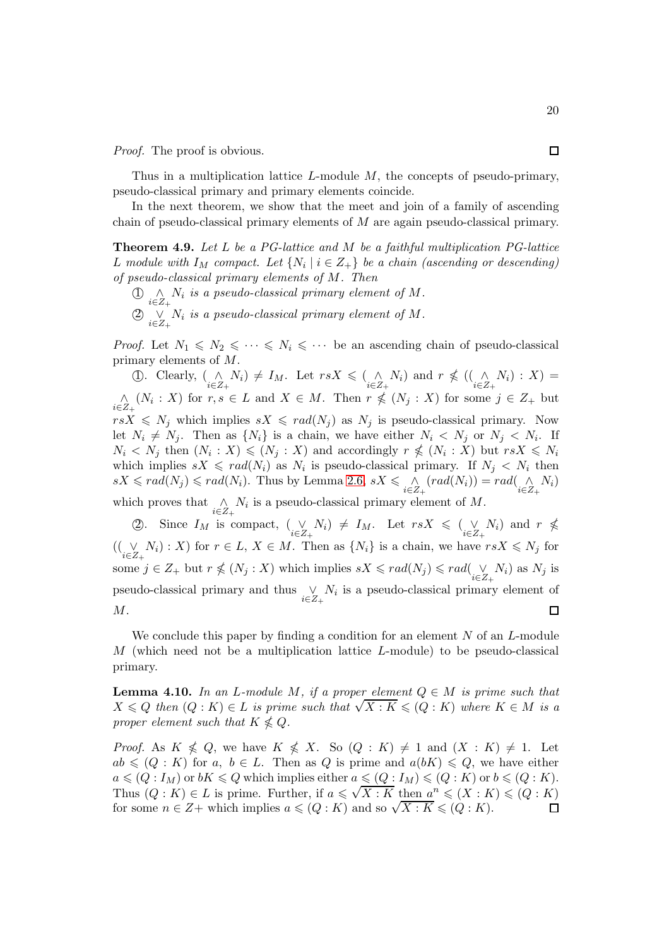*Proof.* The proof is obvious.

Thus in a multiplication lattice  $L$ -module  $M$ , the concepts of pseudo-primary, pseudo-classical primary and primary elements coincide.

In the next theorem, we show that the meet and join of a family of ascending chain of pseudo-classical primary elements of M are again pseudo-classical primary.

Theorem 4.9. *Let* L *be a PG-lattice and* M *be a faithful multiplication PG-lattice* L module with  $I_M$  compact. Let  $\{N_i \mid i \in Z_+\}$  be a chain (ascending or descending) *of pseudo-classical primary elements of* M*. Then*

 $\bigoplus_{i\in Z_+} \bigwedge_i$  *is a pseudo-classical primary element of*  $M$ *.*  $\textcircled{2}$   $\underset{i\in Z_{+}}{\vee}$  *N<sub>i</sub>* is a pseudo-classical primary element of *M*.

*Proof.* Let  $N_1 \leq N_2 \leq \cdots \leq N_i \leq \cdots$  be an ascending chain of pseudo-classical primary elements of M.

(1). Clearly,  $\begin{array}{c}\n\binom{\wedge}{i \in \mathbb{Z}_+} N_i \neq I_M$ . Let  $rsX \leq \binom{\wedge}{i \in \mathbb{Z}_+} N_i$  and  $r \nleq \binom{\wedge}{i \in \mathbb{Z}_+} N_i : X$  =  $\bigwedge_{i\in Z_+} (N_i : X)$  for  $r, s \in L$  and  $X \in M$ . Then  $r \nleq (N_j : X)$  for some  $j \in Z_+$  but  $rsX \leq N_j$  which implies  $sX \leq rad(N_j)$  as  $N_j$  is pseudo-classical primary. Now let  $N_i \neq N_j$ . Then as  $\{N_i\}$  is a chain, we have either  $N_i \leq N_j$  or  $N_j \leq N_i$ . If  $N_i \langle N_j \rangle$  then  $(N_i : X) \leq N_j : X$  and accordingly  $r \nleq N_i : X$  but  $rsX \leq N_i$ which implies  $sX \leq rad(N_i)$  as  $N_i$  is pseudo-classical primary. If  $N_j \leq N_i$  then  $sX \leqslant rad(N_j) \leqslant rad(N_i)$ . Thus by Lemma 2.[6,](#page-3-1)  $sX \leqslant \bigwedge_{i \in Z_+} (rad(N_i)) = rad(\bigwedge_{i \in Z_+} N_i)$ which proves that  $\bigwedge_{i \in Z_+} N_i$  is a pseudo-classical primary element of M.

2). Since  $I_M$  is compact,  $(\bigvee_{i\in Z_+} N_i) \neq I_M$ . Let  $rsX \leq (\bigvee_{i\in Z_+} N_i)$  and  $r \nleq$  $((\bigvee_{i\in Z_+} N_i): X)$  for  $r \in L$ ,  $X \in M$ . Then as  $\{N_i\}$  is a chain, we have  $rsX \leq N_j$  for some  $j \in Z_+$  but  $r \nleq (N_j : X)$  which implies  $sX \leq rad(N_j) \leq rad(\bigvee_{i \in Z_+} N_i)$  as  $N_j$  is pseudo-classical primary and thus  $\vee_{i \in Z_+} N_i$  is a pseudo-classical primary element of  $\Box$ M.

We conclude this paper by finding a condition for an element  $N$  of an  $L$ -module M (which need not be a multiplication lattice L-module) to be pseudo-classical primary.

<span id="page-19-0"></span>**Lemma 4.10.** In an L-module M, if a proper element  $Q \in M$  is prime such that  $X \leq Q$  then  $(Q: K) \in L$  *is prime such that*  $\sqrt{X: K} \leq (Q: K)$  where  $K \in M$  *is a proper element such that*  $K \nleq Q$ *.* 

*Proof.* As  $K \nleq Q$ , we have  $K \nleq X$ . So  $(Q : K) \neq 1$  and  $(X : K) \neq 1$ . Let  $ab \leq (Q : K)$  for a,  $b \in L$ . Then as Q is prime and  $a(bK) \leq Q$ , we have either  $a \leqslant (Q : I_M)$  or  $bK \leqslant Q$  which implies either  $a \leqslant (Q : I_M) \leqslant (Q : K)$  or  $b \leqslant (Q : K)$ . Thus  $(Q: K) \in L$  is prime. Further, if  $a \leq \sqrt{X: K}$  then  $a^n \leq (X: K) \leq (Q: K)$ for some  $n \in \mathbb{Z}$ + which implies  $a \leq (Q : K)$  and so  $\sqrt{X : K} \leq (Q : K)$ .  $\Box$ 

囗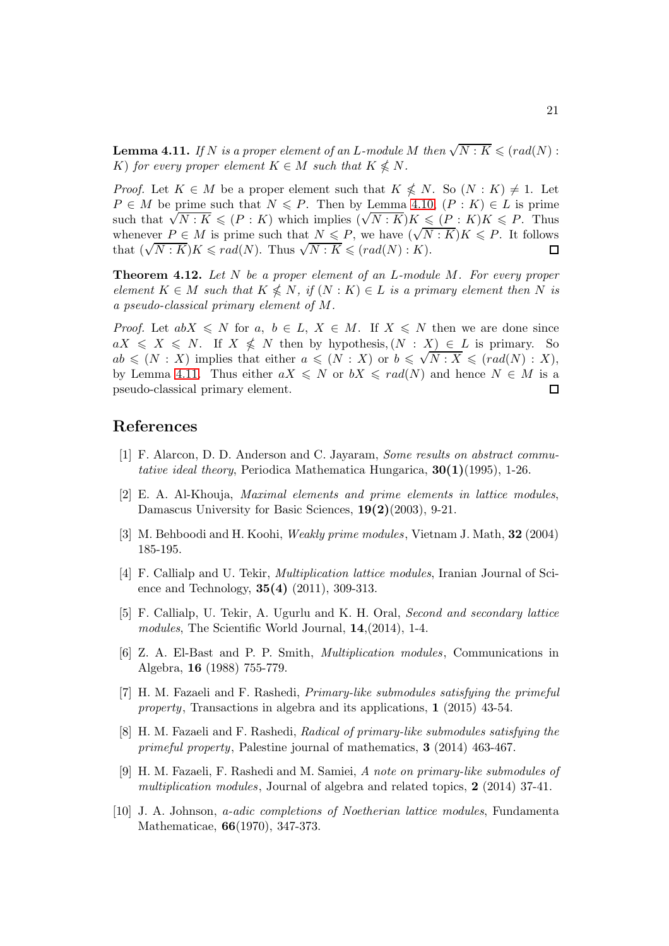<span id="page-20-9"></span>**Lemma 4.11.** *If* N *is a proper element of an L-module* M *then*  $\sqrt{N: K} \leqslant (rad(N):$ K) for every proper element  $K \in M$  such that  $K \nleq N$ .

*Proof.* Let  $K \in M$  be a proper element such that  $K \nleq N$ . So  $(N : K) \neq 1$ . Let  $P \in M$  be prime such that  $N \leq P$ . Then by Lemma 4.[10,](#page-19-0)  $(P: K) \in L$  is prime such that  $\sqrt{N: K} \leqslant (P: K)$  which implies  $(\sqrt{N: K})K \leqslant (P: K)K \leqslant P$ . Thus whenever  $P \in M$  is prime such that  $N \leq P$ , we have  $(\sqrt{N:K})K \leq P$ . It follows that  $(\sqrt{N:K})K \leqslant rad(N)$ . Thus  $\sqrt{N:K} \leqslant (rad(N):K)$ .  $\Box$ 

Theorem 4.12. *Let* N *be a proper element of an* L*-module* M*. For every proper*  $element\ K \in M\ such\ that\ K \nleqslant N\$ , if  $(N: K) \in L\$  is a primary element then N is *a pseudo-classical primary element of* M*.*

*Proof.* Let  $abX \leq N$  for a,  $b \in L$ ,  $X \in M$ . If  $X \leq N$  then we are done since  $aX \leqslant X \leqslant N$ . If  $X \nleqslant N$  then by hypothesis,  $(N : X) \in L$  is primary. So  $ab \leqslant (N : X)$  implies that either  $a \leqslant (N : X)$  or  $b \leqslant \sqrt{N : X} \leqslant (rad(N) : X)$ , by Lemma 4.[11.](#page-20-9) Thus either  $aX \le N$  or  $bX \le rad(N)$  and hence  $N \in M$  is a pseudo-classical primary element. pseudo-classical primary element.

### <span id="page-20-0"></span>References

- <span id="page-20-1"></span>[1] F. Alarcon, D. D. Anderson and C. Jayaram, *Some results on abstract commutative ideal theory*, Periodica Mathematica Hungarica, 30(1)(1995), 1-26.
- [2] E. A. Al-Khouja, *Maximal elements and prime elements in lattice modules*, Damascus University for Basic Sciences, 19(2)(2003), 9-21.
- <span id="page-20-7"></span><span id="page-20-2"></span>[3] M. Behboodi and H. Koohi, *Weakly prime modules*, Vietnam J. Math, 32 (2004) 185-195.
- [4] F. Callialp and U. Tekir, *Multiplication lattice modules*, Iranian Journal of Science and Technology, 35(4) (2011), 309-313.
- [5] F. Callialp, U. Tekir, A. Ugurlu and K. H. Oral, *Second and secondary lattice modules*, The Scientific World Journal, 14,(2014), 1-4.
- <span id="page-20-8"></span>[6] Z. A. El-Bast and P. P. Smith, *Multiplication modules*, Communications in Algebra, 16 (1988) 755-779.
- <span id="page-20-4"></span>[7] H. M. Fazaeli and F. Rashedi, *Primary-like submodules satisfying the primeful property*, Transactions in algebra and its applications, 1 (2015) 43-54.
- <span id="page-20-5"></span>[8] H. M. Fazaeli and F. Rashedi, *Radical of primary-like submodules satisfying the primeful property*, Palestine journal of mathematics, 3 (2014) 463-467.
- <span id="page-20-6"></span>[9] H. M. Fazaeli, F. Rashedi and M. Samiei, *A note on primary-like submodules of multiplication modules*, Journal of algebra and related topics, 2 (2014) 37-41.
- <span id="page-20-3"></span>[10] J. A. Johnson, *a-adic completions of Noetherian lattice modules*, Fundamenta Mathematicae, 66(1970), 347-373.